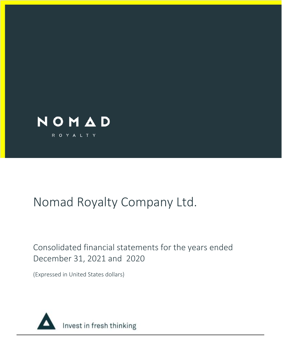

# Consolidated financial statements for the years ended December 31, 2021 and 2020

(Expressed in United States dollars)

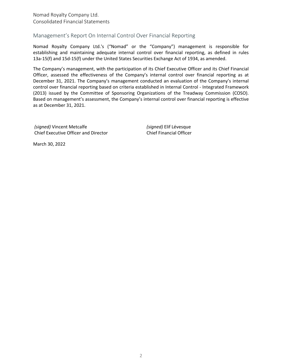Nomad Royalty Company Ltd. Consolidated Financial Statements

# Management's Report On Internal Control Over Financial Reporting

Nomad Royalty Company Ltd.'s ("Nomad" or the "Company") management is responsible for establishing and maintaining adequate internal control over financial reporting, as defined in rules 13a-15(f) and 15d-15(f) under the United States Securities Exchange Act of 1934, as amended.

The Company's management, with the participation of its Chief Executive Officer and its Chief Financial Officer, assessed the effectiveness of the Company's internal control over financial reporting as at December 31, 2021. The Company's management conducted an evaluation of the Company's internal control over financial reporting based on criteria established in Internal Control - Integrated Framework (2013) issued by the Committee of Sponsoring Organizations of the Treadway Commission (COSO). Based on management's assessment, the Company's internal control over financial reporting is effective as at December 31, 2021.

*(signed)* Vincent Metcalfe Chief Executive Officer and Director *(signed)* Elif Lévesque Chief Financial Officer

March 30, 2022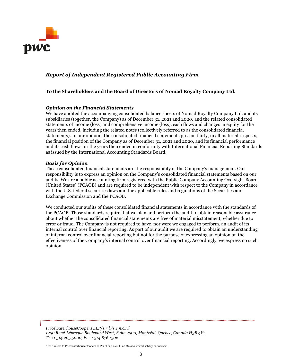

# *Report of Independent Registered Public Accounting Firm*

#### **To the Shareholders and the Board of Directors of Nomad Royalty Company Ltd.**

#### *Opinion on the Financial Statements*

We have audited the accompanying consolidated balance sheets of Nomad Royalty Company Ltd. and its subsidiaries (together, the Company) as of December 31, 2021 and 2020, and the related consolidated statements of income (loss) and comprehensive income (loss), cash flows and changes in equity for the years then ended, including the related notes (collectively referred to as the consolidated financial statements). In our opinion, the consolidated financial statements present fairly, in all material respects, the financial position of the Company as of December 31, 2021 and 2020, and its financial performance and its cash flows for the years then ended in conformity with International Financial Reporting Standards as issued by the International Accounting Standards Board.

#### *Basis for Opinion*

These consolidated financial statements are the responsibility of the Company's management. Our responsibility is to express an opinion on the Company's consolidated financial statements based on our audits. We are a public accounting firm registered with the Public Company Accounting Oversight Board (United States) (PCAOB) and are required to be independent with respect to the Company in accordance with the U.S. federal securities laws and the applicable rules and regulations of the Securities and Exchange Commission and the PCAOB.

We conducted our audits of these consolidated financial statements in accordance with the standards of the PCAOB. Those standards require that we plan and perform the audit to obtain reasonable assurance about whether the consolidated financial statements are free of material misstatement, whether due to error or fraud. The Company is not required to have, nor were we engaged to perform, an audit of its internal control over financial reporting. As part of our audit we are required to obtain an understanding of internal control over financial reporting but not for the purpose of expressing an opinion on the effectiveness of the Company's internal control over financial reporting. Accordingly, we express no such opinion.

*PricewaterhouseCoopers LLP/s.r.l./s.e.n.c.r.l. 1250 René-Lévesque Boulevard West, Suite 2500, Montréal, Quebec, Canada H3B 4Y1 T: +1 514 205 5000, F: +1 514 876 1502* 

"PwC" refers to PricewaterhouseCoopers LLP/s.r.l./s.e.n.c.r.l., an Ontario limited liability partnership.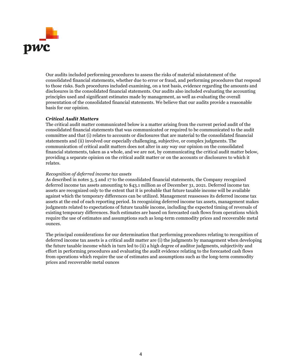

Our audits included performing procedures to assess the risks of material misstatement of the consolidated financial statements, whether due to error or fraud, and performing procedures that respond to those risks. Such procedures included examining, on a test basis, evidence regarding the amounts and disclosures in the consolidated financial statements. Our audits also included evaluating the accounting principles used and significant estimates made by management, as well as evaluating the overall presentation of the consolidated financial statements. We believe that our audits provide a reasonable basis for our opinion.

#### *Critical Audit Matters*

The critical audit matter communicated below is a matter arising from the current period audit of the consolidated financial statements that was communicated or required to be communicated to the audit committee and that (i) relates to accounts or disclosures that are material to the consolidated financial statements and (ii) involved our especially challenging, subjective, or complex judgments. The communication of critical audit matters does not alter in any way our opinion on the consolidated financial statements, taken as a whole, and we are not, by communicating the critical audit matter below, providing a separate opinion on the critical audit matter or on the accounts or disclosures to which it relates.

#### *Recognition of deferred income tax assets*

As described in notes 3, 5 and 17 to the consolidated financial statements, the Company recognized deferred income tax assets amounting to \$43.1 million as of December 31, 2021. Deferred income tax assets are recognized only to the extent that it is probable that future taxable income will be available against which the temporary differences can be utilized. Management reassesses its deferred income tax assets at the end of each reporting period. In recognizing deferred income tax assets, management makes judgments related to expectations of future taxable income, including the expected timing of reversals of existing temporary differences. Such estimates are based on forecasted cash flows from operations which require the use of estimates and assumptions such as long-term commodity prices and recoverable metal ounces.

The principal considerations for our determination that performing procedures relating to recognition of deferred income tax assets is a critical audit matter are (i) the judgments by management when developing the future taxable income which in turn led to (ii) a high degree of auditor judgments, subjectivity and effort in performing procedures and evaluating the audit evidence relating to the forecasted cash flows from operations which require the use of estimates and assumptions such as the long-term commodity prices and recoverable metal ounces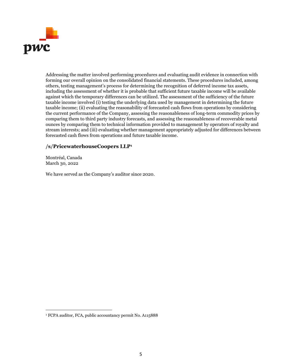

Addressing the matter involved performing procedures and evaluating audit evidence in connection with forming our overall opinion on the consolidated financial statements. These procedures included, among others, testing management's process for determining the recognition of deferred income tax assets, including the assessment of whether it is probable that sufficient future taxable income will be available against which the temporary differences can be utilized. The assessment of the sufficiency of the future taxable income involved (i) testing the underlying data used by management in determining the future taxable income; (ii) evaluating the reasonability of forecasted cash flows from operations by considering the current performance of the Company, assessing the reasonableness of long-term commodity prices by comparing them to third party industry forecasts, and assessing the reasonableness of recoverable metal ounces by comparing them to technical information provided to management by operators of royalty and stream interests; and (iii) evaluating whether management appropriately adjusted for differences between forecasted cash flows from operations and future taxable income.

# **/s/PricewaterhouseCoopers LLP<sup>1</sup>**

Montréal, Canada March 30, 2022

We have served as the Company's auditor since 2020.

<sup>1</sup> FCPA auditor, FCA, public accountancy permit No. A115888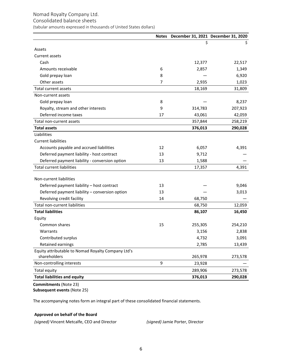#### Consolidated balance sheets

(tabular amounts expressed in thousands of United States dollars)

|                                                    |    | Notes December 31, 2021 December 31, 2020 |         |
|----------------------------------------------------|----|-------------------------------------------|---------|
|                                                    |    | \$                                        | \$      |
| Assets                                             |    |                                           |         |
| Current assets                                     |    |                                           |         |
| Cash                                               |    | 12,377                                    | 22,517  |
| Amounts receivable                                 | 6  | 2,857                                     | 1,349   |
| Gold prepay loan                                   | 8  |                                           | 6,920   |
| Other assets                                       | 7  | 2,935                                     | 1,023   |
| Total current assets                               |    | 18,169                                    | 31,809  |
| Non-current assets                                 |    |                                           |         |
| Gold prepay loan                                   | 8  |                                           | 8,237   |
| Royalty, stream and other interests                | 9  | 314,783                                   | 207,923 |
| Deferred income taxes                              | 17 | 43,061                                    | 42,059  |
| Total non-current assets                           |    | 357,844                                   | 258,219 |
| <b>Total assets</b>                                |    | 376,013                                   | 290,028 |
| Liabilities                                        |    |                                           |         |
| <b>Current liabilities</b>                         |    |                                           |         |
| Accounts payable and accrued liabilities           | 12 | 6,057                                     | 4,391   |
| Deferred payment liability - host contract         | 13 | 9,712                                     |         |
| Deferred payment liability - conversion option     | 13 | 1,588                                     |         |
| <b>Total current liabilities</b>                   |    | 17,357                                    | 4,391   |
|                                                    |    |                                           |         |
| Non-current liabilities                            |    |                                           |         |
| Deferred payment liability - host contract         | 13 |                                           | 9,046   |
| Deferred payment liability - conversion option     | 13 |                                           | 3,013   |
| Revolving credit facility                          | 14 | 68,750                                    |         |
| Total non-current liabilities                      |    | 68,750                                    | 12,059  |
| <b>Total liabilities</b>                           |    | 86,107                                    | 16,450  |
| Equity                                             |    |                                           |         |
| Common shares                                      | 15 | 255,305                                   | 254,210 |
| Warrants                                           |    | 3,156                                     | 2,838   |
| Contributed surplus                                |    | 4,732                                     | 3,091   |
| Retained earnings                                  |    | 2,785                                     | 13,439  |
| Equity attributable to Nomad Royalty Company Ltd's |    |                                           |         |
| shareholders                                       |    | 265,978                                   | 273,578 |
| Non-controlling interests                          | 9  | 23,928                                    |         |
| Total equity                                       |    | 289,906                                   | 273,578 |
| <b>Total liabilities and equity</b>                |    | 376,013                                   | 290,028 |

**Commitments** (Note 23) **Subsequent events (Note 25)** 

The accompanying notes form an integral part of these consolidated financial statements.

#### **Approved on behalf of the Board**

*(signed)* Vincent Metcalfe, CEO and Director *(signed)* Jamie Porter, Director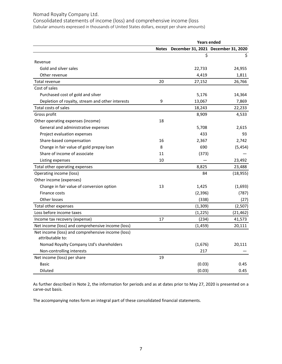Consolidated statements of income (loss) and comprehensive income (loss (tabular amounts expressed in thousands of United States dollars, except per share amounts)

|                                                   | <b>Years ended</b> |          |                                     |  |  |
|---------------------------------------------------|--------------------|----------|-------------------------------------|--|--|
|                                                   | <b>Notes</b>       |          | December 31, 2021 December 31, 2020 |  |  |
|                                                   |                    | \$       | S.                                  |  |  |
| Revenue                                           |                    |          |                                     |  |  |
| Gold and silver sales                             |                    | 22,733   | 24,955                              |  |  |
| Other revenue                                     |                    | 4,419    | 1,811                               |  |  |
| Total revenue                                     | 20                 | 27,152   | 26,766                              |  |  |
| Cost of sales                                     |                    |          |                                     |  |  |
| Purchased cost of gold and silver                 |                    | 5,176    | 14,364                              |  |  |
| Depletion of royalty, stream and other interests  | 9                  | 13,067   | 7,869                               |  |  |
| Total costs of sales                              |                    | 18,243   | 22,233                              |  |  |
| Gross profit                                      |                    | 8,909    | 4,533                               |  |  |
| Other operating expenses (income)                 | 18                 |          |                                     |  |  |
| General and administrative expenses               |                    | 5,708    | 2,615                               |  |  |
| Project evaluation expenses                       |                    | 433      | 93                                  |  |  |
| Share-based compensation                          | 16                 | 2,367    | 2,742                               |  |  |
| Change in fair value of gold prepay loan          | 8                  | 690      | (5, 454)                            |  |  |
| Share of income of associate                      | 11                 | (373)    |                                     |  |  |
| Listing expenses                                  | 10                 |          | 23,492                              |  |  |
| Total other operating expenses                    |                    | 8,825    | 23,488                              |  |  |
| Operating income (loss)                           |                    | 84       | (18, 955)                           |  |  |
| Other income (expenses)                           |                    |          |                                     |  |  |
| Change in fair value of conversion option         | 13                 | 1,425    | (1,693)                             |  |  |
| Finance costs                                     |                    | (2, 396) | (787)                               |  |  |
| Other losses                                      |                    | (338)    | (27)                                |  |  |
| Total other expenses                              |                    | (1, 309) | (2,507)                             |  |  |
| Loss before income taxes                          |                    | (1, 225) | (21, 462)                           |  |  |
| Income tax recovery (expense)                     | 17                 | (234)    | 41,573                              |  |  |
| Net income (loss) and comprehensive income (loss) |                    | (1, 459) | 20,111                              |  |  |
| Net income (loss) and comprehensive income (loss) |                    |          |                                     |  |  |
| attributable to:                                  |                    |          |                                     |  |  |
| Nomad Royalty Company Ltd's shareholders          |                    | (1,676)  | 20,111                              |  |  |
| Non-controlling interests                         |                    | 217      |                                     |  |  |
| Net income (loss) per share                       | 19                 |          |                                     |  |  |
| Basic                                             |                    | (0.03)   | 0.45                                |  |  |
| Diluted                                           |                    | (0.03)   | 0.45                                |  |  |

As further described in Note 2, the information for periods and as at dates prior to May 27, 2020 is presented on a carve-out basis.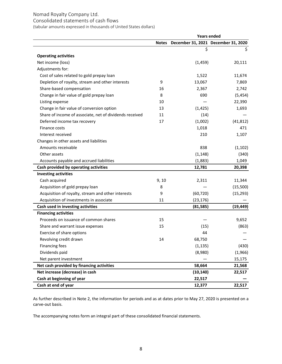# Consolidated statements of cash flows

(tabular amounts expressed in thousands of United States dollars)

|                                                         | <b>Years ended</b> |           |                                     |  |  |
|---------------------------------------------------------|--------------------|-----------|-------------------------------------|--|--|
|                                                         | <b>Notes</b>       |           | December 31, 2021 December 31, 2020 |  |  |
|                                                         |                    | \$        | \$                                  |  |  |
| <b>Operating activities</b>                             |                    |           |                                     |  |  |
| Net income (loss)                                       |                    | (1, 459)  | 20,111                              |  |  |
| Adjustments for:                                        |                    |           |                                     |  |  |
| Cost of sales related to gold prepay loan               |                    | 1,522     | 11,674                              |  |  |
| Depletion of royalty, stream and other interests        | 9                  | 13,067    | 7,869                               |  |  |
| Share-based compensation                                | 16                 | 2,367     | 2,742                               |  |  |
| Change in fair value of gold prepay loan                | 8                  | 690       | (5, 454)                            |  |  |
| Listing expense                                         | 10                 |           | 22,390                              |  |  |
| Change in fair value of conversion option               | 13                 | (1, 425)  | 1,693                               |  |  |
| Share of income of associate, net of dividends received | 11                 | (14)      |                                     |  |  |
| Deferred income tax recovery                            | 17                 | (1,002)   | (41, 812)                           |  |  |
| <b>Finance costs</b>                                    |                    | 1,018     | 471                                 |  |  |
| Interest received                                       |                    | 210       | 1,107                               |  |  |
| Changes in other assets and liabilities                 |                    |           |                                     |  |  |
| Amounts receivable                                      |                    | 838       | (1, 102)                            |  |  |
| Other assets                                            |                    | (1, 148)  | (340)                               |  |  |
| Accounts payable and accrued liabilities                |                    | (1,883)   | 1,049                               |  |  |
| Cash provided by operating activities                   |                    | 12,781    | 20,398                              |  |  |
| <b>Investing activities</b>                             |                    |           |                                     |  |  |
| Cash acquired                                           | 9, 10              | 2,311     | 11,344                              |  |  |
| Acquisition of gold prepay loan                         | 8                  |           | (15,500)                            |  |  |
| Acquisition of royalty, stream and other interests      | 9                  | (60, 720) | (15, 293)                           |  |  |
| Acquisition of investments in associate                 | 11                 | (23, 176) |                                     |  |  |
| Cash used in investing activities                       |                    | (81,585)  | (19, 449)                           |  |  |
| <b>Financing activities</b>                             |                    |           |                                     |  |  |
| Proceeds on issuance of common shares                   | 15                 |           | 9,652                               |  |  |
| Share and warrant issue expenses                        | 15                 | (15)      | (863)                               |  |  |
| Exercise of share options                               |                    | 44        |                                     |  |  |
| Revolving credit drawn                                  | 14                 | 68,750    |                                     |  |  |
| <b>Financing fees</b>                                   |                    | (1, 135)  | (430)                               |  |  |
| Dividends paid                                          |                    | (8,980)   | (1,966)                             |  |  |
| Net parent investment                                   |                    |           | 15,175                              |  |  |
| Net cash provided by financing activities               |                    | 58,664    | 21,568                              |  |  |
| Net increase (decrease) in cash                         |                    | (10, 140) | 22,517                              |  |  |
| Cash at beginning of year                               |                    | 22,517    |                                     |  |  |
| Cash at end of year                                     |                    | 12,377    | 22,517                              |  |  |

As further described in Note 2, the information for periods and as at dates prior to May 27, 2020 is presented on a carve-out basis.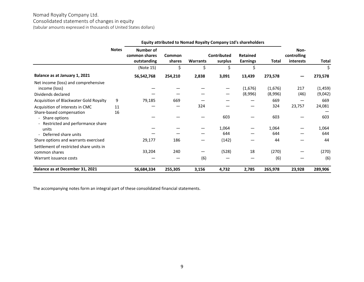Consolidated statements of changes in equity

(tabular amounts expressed in thousands of United States dollars)

|                                                                            |              | Equity attributed to Nomad Royalty Company Ltd's shareholders |                  |                 |                               |                                    |                    |                                         |                     |
|----------------------------------------------------------------------------|--------------|---------------------------------------------------------------|------------------|-----------------|-------------------------------|------------------------------------|--------------------|-----------------------------------------|---------------------|
|                                                                            | <b>Notes</b> | Number of<br>common shares<br>outstanding                     | Common<br>shares | <b>Warrants</b> | <b>Contributed</b><br>surplus | <b>Retained</b><br><b>Earnings</b> | Total              | Non-<br>controlling<br><i>interests</i> | <b>Total</b>        |
|                                                                            |              | (Note 15)                                                     | \$               |                 |                               |                                    |                    |                                         | \$                  |
| Balance as at January 1, 2021                                              |              | 56,542,768                                                    | 254,210          | 2,838           | 3,091                         | 13,439                             | 273,578            |                                         | 273,578             |
| Net income (loss) and comprehensive<br>income (loss)<br>Dividends declared |              |                                                               |                  |                 |                               | (1,676)<br>(8,996)                 | (1,676)<br>(8,996) | 217<br>(46)                             | (1, 459)<br>(9,042) |
| Acquisition of Blackwater Gold Royalty                                     | 9            | 79,185                                                        | 669              |                 |                               |                                    | 669                |                                         | 669                 |
| Acquisition of interests in CMC<br>Share-based compensation                | 11<br>16     |                                                               |                  | 324             |                               |                                    | 324                | 23,757                                  | 24,081              |
| - Share options<br>- Restricted and performance share                      |              |                                                               |                  |                 | 603                           |                                    | 603                |                                         | 603                 |
| units<br>Deferred share units                                              |              |                                                               |                  |                 | 1,064<br>644                  |                                    | 1,064<br>644       |                                         | 1,064<br>644        |
| Share options and warrants exercised                                       |              | 29,177                                                        | 186              |                 | (142)                         |                                    | 44                 |                                         | 44                  |
| Settlement of restricted share units in<br>common shares                   |              | 33,204                                                        | 240              |                 | (528)                         | 18                                 | (270)              |                                         | (270)               |
| Warrant issuance costs                                                     |              |                                                               |                  | (6)             |                               |                                    | (6)                |                                         | (6)                 |
| Balance as at December 31, 2021                                            |              | 56,684,334                                                    | 255,305          | 3,156           | 4,732                         | 2,785                              | 265,978            | 23,928                                  | 289,906             |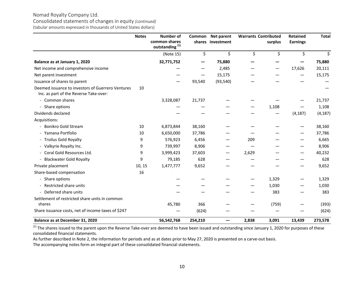#### Consolidated statements of changes in equity *(continued)* (tabular amounts expressed in thousands of United States dollars)

|                                                                                             | <b>Notes</b> | <b>Number of</b><br>common shares<br>outstanding <sup>(1)</sup> |         | Common Net parent<br>shares investment |       | <b>Warrants Contributed</b><br>surplus | <b>Retained</b><br><b>Earnings</b> | <b>Total</b> |
|---------------------------------------------------------------------------------------------|--------------|-----------------------------------------------------------------|---------|----------------------------------------|-------|----------------------------------------|------------------------------------|--------------|
|                                                                                             |              | (Note 15)                                                       | \$      | \$                                     | \$    | \$                                     | \$                                 | \$           |
| Balance as at January 1, 2020                                                               |              | 32,771,752                                                      |         | 75,880                                 |       |                                        |                                    | 75,880       |
| Net income and comprehensive income                                                         |              |                                                                 |         | 2,485                                  |       |                                        | 17,626                             | 20,111       |
| Net parent investment                                                                       |              |                                                                 |         | 15,175                                 |       |                                        |                                    | 15,175       |
| Issuance of shares to parent                                                                |              |                                                                 | 93,540  | (93, 540)                              |       |                                        |                                    |              |
| Deemed issuance to investors of Guerrero Ventures<br>Inc. as part of the Reverse Take-over: | 10           |                                                                 |         |                                        |       |                                        |                                    |              |
| - Common shares                                                                             |              | 3,328,087                                                       | 21,737  |                                        |       |                                        |                                    | 21,737       |
| - Share options                                                                             |              |                                                                 |         |                                        |       | 1,108                                  |                                    | 1,108        |
| Dividends declared                                                                          |              |                                                                 |         |                                        |       |                                        | (4, 187)                           | (4, 187)     |
| Acquisitions:                                                                               |              |                                                                 |         |                                        |       |                                        |                                    |              |
| <b>Bonikro Gold Stream</b>                                                                  | 10           | 6,873,844                                                       | 38,160  |                                        |       |                                        |                                    | 38,160       |
| - Yamana Portfolio                                                                          | 10           | 6,650,000                                                       | 37,786  |                                        |       |                                        |                                    | 37,786       |
| - Troilus Gold Royalty                                                                      | 9            | 576,923                                                         | 6,456   |                                        | 209   |                                        |                                    | 6,665        |
| - Valkyrie Royalty Inc.                                                                     | 9            | 739,997                                                         | 8,906   |                                        |       |                                        |                                    | 8,906        |
| - Coral Gold Resources Ltd.                                                                 | 9            | 3,999,423                                                       | 37,603  |                                        | 2,629 |                                        |                                    | 40,232       |
| <b>Blackwater Gold Royalty</b>                                                              | 9            | 79,185                                                          | 628     |                                        |       |                                        |                                    | 628          |
| Private placement                                                                           | 10, 15       | 1,477,777                                                       | 9,652   |                                        |       |                                        | —                                  | 9,652        |
| Share-based compensation                                                                    | 16           |                                                                 |         |                                        |       |                                        |                                    |              |
| - Share options                                                                             |              |                                                                 |         |                                        |       | 1,329                                  |                                    | 1,329        |
| Restricted share units                                                                      |              |                                                                 |         |                                        |       | 1,030                                  |                                    | 1,030        |
| Deferred share units                                                                        |              |                                                                 |         |                                        |       | 383                                    |                                    | 383          |
| Settlement of restricted share units in common<br>shares                                    |              | 45,780                                                          | 366     |                                        |       | (759)                                  |                                    | (393)        |
| Share issuance costs, net of income taxes of \$247                                          |              |                                                                 | (624)   |                                        |       |                                        |                                    | (624)        |
| Balance as at December 31, 2020                                                             |              | 56,542,768                                                      | 254,210 | —                                      | 2,838 | 3,091                                  | 13,439                             | 273,578      |

 $^{(1)}$  The shares issued to the parent upon the Reverse Take-over are deemed to have been issued and outstanding since January 1, 2020 for purposes of these consolidated financial statements.

As further described in Note 2, the information for periods and as at dates prior to May 27, 2020 is presented on a carve-out basis.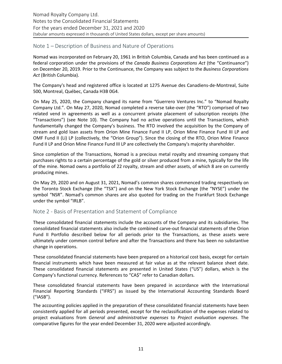# <span id="page-10-0"></span>Note 1 – Description of Business and Nature of Operations

Nomad was incorporated on February 20, 1961 in British Columbia, Canada and has been continued as a federal corporation under the provisions of the *Canada Business Corporations Act* (the "Continuance") on December 20, 2019. Prior to the Continuance, the Company was subject to the *Business Corporations* Act (British Columbia).

The Company's head and registered office is located at 1275 Avenue des Canadiens-de-Montreal, Suite 500, Montreal, Québec, Canada H3B 0G4.

On May 25, 2020, the Company changed its name from "Guerrero Ventures Inc." to "Nomad Royalty Company Ltd.". On May 27, 2020, Nomad completed a reverse take-over (the "RTO") comprised of two related vend in agreements as well as a concurrent private placement of subscription receipts (the "Transactions") (see Note 10). The Company had no active operations until the Transactions, which fundamentally changed the Company's business. The RTO involved the acquisition by the Company of stream and gold loan assets from Orion Mine Finance Fund II LP, Orion Mine Finance Fund III LP and OMF Fund II (Li) LP (collectively, the "Orion Group"). Since the closing of the RTO, Orion Mine Finance Fund II LP and Orion Mine Finance Fund III LP are collectively the Company's majority shareholder.

Since completion of the Transactions, Nomad is a precious metal royalty and streaming company that purchases rights to a certain percentage of the gold or silver produced from a mine, typically for the life of the mine. Nomad owns a portfolio of 22 royalty, stream and other assets, of which 8 are on currently producing mines.

On May 29, 2020 and on August 31, 2021, Nomad's common shares commenced trading respectively on the Toronto Stock Exchange (the "TSX") and on the New York Stock Exchange (the "NYSE") under the symbol "NSR". Nomad's common shares are also quoted for trading on the Frankfurt Stock Exchange under the symbol "IRLB".

# Note 2 - Basis of Presentation and Statement of Compliance

These consolidated financial statements include the accounts of the Company and its subsidiaries. The consolidated financial statements also include the combined carve-out financial statements of the Orion Fund II Portfolio described below for all periods prior to the Transactions, as these assets were ultimately under common control before and after the Transactions and there has been no substantive change in operations.

These consolidated financial statements have been prepared on a historical cost basis, except for certain financial instruments which have been measured at fair value as at the relevant balance sheet date. These consolidated financial statements are presented in United States ("US") dollars, which is the Company's functional currency. References to "CA\$" refer to Canadian dollars.

These consolidated financial statements have been prepared in accordance with the International Financial Reporting Standards ("IFRS") as issued by the International Accounting Standards Board ("IASB"). 

The accounting policies applied in the preparation of these consolidated financial statements have been consistently applied for all periods presented, except for the reclassification of the expenses related to project evaluations from *General and administrative expenses* to *Project evaluation expenses*. The comparative figures for the year ended December 31, 2020 were adjusted accordingly.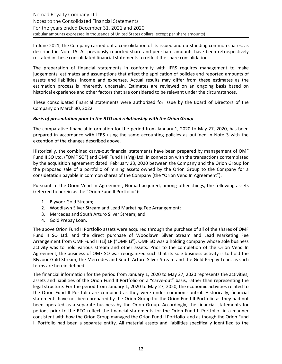In June 2021, the Company carried out a consolidation of its issued and outstanding common shares, as described in Note 15. All previously reported share and per share amounts have been retrospectively restated in these consolidated financial statements to reflect the share consolidation.

The preparation of financial statements in conformity with IFRS requires management to make judgements, estimates and assumptions that affect the application of policies and reported amounts of assets and liabilities, income and expenses. Actual results may differ from these estimates as the estimation process is inherently uncertain. Estimates are reviewed on an ongoing basis based on historical experience and other factors that are considered to be relevant under the circumstances.

These consolidated financial statements were authorized for issue by the Board of Directors of the Company on March 30, 2022.

#### **Basis of presentation prior to the RTO and relationship with the Orion Group**

The comparative financial information for the period from January 1, 2020 to May 27, 2020, has been prepared in accordance with IFRS using the same accounting policies as outlined in Note 3 with the exception of the changes described above.

Historically, the combined carve-out financial statements have been prepared by management of OMF Fund II SO Ltd. ("OMF SO") and OMF Fund III (Mg) Ltd. in connection with the transactions contemplated by the acquisition agreement dated February 23, 2020 between the Company and the Orion Group for the proposed sale of a portfolio of mining assets owned by the Orion Group to the Company for a considetation payable in common shares of the Company (the "Orion Vend In Agreement").

Pursuant to the Orion Vend In Agreement, Nomad acquired, among other things, the following assets (referred to herein as the "Orion Fund II Portfolio"):

- 1. Blyvoor Gold Stream;
- 2. Woodlawn Silver Stream and Lead Marketing Fee Arrangement;
- 3. Mercedes and South Arturo Silver Stream; and
- 4. Gold Prepay Loan.

The above Orion Fund II Portfolio assets were acquired through the purchase of all of the shares of OMF Fund II SO Ltd. and the direct purchase of Woodlawn Silver Stream and Lead Marketing Fee Arrangement from OMF Fund II (Li) LP ("OMF Li"). OMF SO was a holding company whose sole business activity was to hold various stream and other assets. Prior to the completion of the Orion Vend In Agreement, the business of OMF SO was reorganized such that its sole business activity is to hold the Blyvoor Gold Stream, the Mercedes and South Arturo Silver Stream and the Gold Prepay Loan, as such terms are herein defined.

The financial information for the period from January 1, 2020 to May 27, 2020 represents the activities, assets and liabilities of the Orion Fund II Portfolio on a "carve-out" basis, rather than representing the legal structure. For the period from January 1, 2020 to May 27, 2020, the economic activities related to the Orion Fund II Portfolio are combined as they were under common control. Historically, financial statements have not been prepared by the Orion Group for the Orion Fund II Portfolio as they had not been operated as a separate business by the Orion Group. Accordingly, the financial statements for periods prior to the RTO reflect the financial statements for the Orion Fund II Portfolio in a manner consistent with how the Orion Group managed the Orion Fund II Portfolio and as though the Orion Fund II Portfolio had been a separate entity. All material assets and liabilities specifically identified to the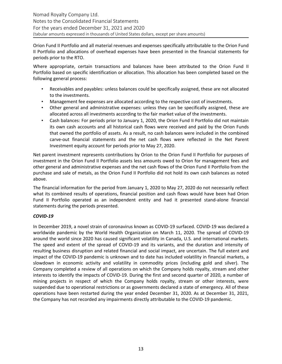Orion Fund II Portfolio and all material revenues and expenses specifically attributable to the Orion Fund II Portfolio and allocations of overhead expenses have been presented in the financial statements for periods prior to the RTO.

Where appropriate, certain transactions and balances have been attributed to the Orion Fund II Portfolio based on specific identification or allocation. This allocation has been completed based on the following general process:

- Receivables and payables: unless balances could be specifically assigned, these are not allocated to the investments.
- Management fee expenses are allocated according to the respective cost of investments.
- Other general and administrative expenses: unless they can be specifically assigned, these are allocated across all investments according to the fair market value of the investments.
- Cash balances: For periods prior to January 1, 2020, the Orion Fund II Portfolio did not maintain its own cash accounts and all historical cash flows were received and paid by the Orion Funds that owned the portfolio of assets. As a result, no cash balances were included in the combined carve-out financial statements and the net cash flows were reflected in the Net Parent Investment equity account for periods prior to May 27, 2020.

Net parent investment represents contributions by Orion to the Orion Fund II Portfolio for purposes of investment in the Orion Fund II Portfolio assets less amounts owed to Orion for management fees and other general and administrative expenses and the net cash flows of the Orion Fund II Portfolio from the purchase and sale of metals, as the Orion Fund II Portfolio did not hold its own cash balances as noted above.

The financial information for the period from January 1, 2020 to May 27, 2020 do not necessarily reflect what its combined results of operations, financial position and cash flows would have been had Orion Fund II Portfolio operated as an independent entity and had it presented stand-alone financial statements during the periods presented.

# *COVID-19*

In December 2019, a novel strain of coronavirus known as COVID-19 surfaced. COVID-19 was declared a worldwide pandemic by the World Health Organization on March 11, 2020. The spread of COVID-19 around the world since 2020 has caused significant volatility in Canada, U.S. and international markets. The speed and extent of the spread of COVID-19 and its variants, and the duration and intensity of resulting business disruption and related financial and social impact, are uncertain. The full extent and impact of the COVID-19 pandemic is unknown and to date has included volatility in financial markets, a slowdown in economic activity and volatility in commodity prices (including gold and silver). The Company completed a review of all operations on which the Company holds royalty, stream and other interests to identify the impacts of COVID-19. During the first and second quarter of 2020, a number of mining projects in respect of which the Company holds royalty, stream or other interests, were suspended due to operational restrictions or as governments declared a state of emergency. All of these operations have been restarted during the year ended December 31, 2020. As at December 31, 2021, the Company has not recorded any impairments directly attributable to the COVID-19 pandemic.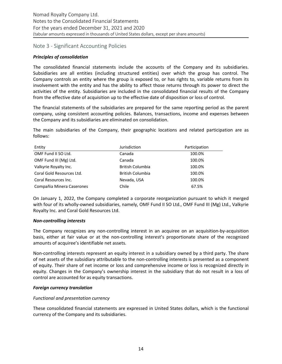# <span id="page-13-0"></span>Note 3 - Significant Accounting Policies

#### *Principles of consolidation*

The consolidated financial statements include the accounts of the Company and its subsidiaries. Subsidiaries are all entities (including structured entities) over which the group has control. The Company controls an entity where the group is exposed to, or has rights to, variable returns from its involvement with the entity and has the ability to affect those returns through its power to direct the activities of the entity. Subsidiaries are included in the consolidated financial results of the Company from the effective date of acquisition up to the effective date of disposition or loss of control.

The financial statements of the subsidiaries are prepared for the same reporting period as the parent company, using consistent accounting policies. Balances, transactions, income and expenses between the Company and its subsidiaries are eliminated on consolidation.

The main subsidiaries of the Company, their geographic locations and related participation are as follows:

| Entity                    | Jurisdiction            | Participation |
|---------------------------|-------------------------|---------------|
| OMF Fund II SO Ltd.       | Canada                  | 100.0%        |
| OMF Fund III (Mg) Ltd.    | Canada                  | 100.0%        |
| Valkyrie Royalty Inc.     | <b>British Columbia</b> | 100.0%        |
| Coral Gold Resources Ltd. | <b>British Columbia</b> | 100.0%        |
| Coral Resources Inc.      | Nevada, USA             | 100.0%        |
| Compañia Minera Caserones | Chile                   | 67.5%         |

On January 1, 2022, the Company completed a corporate reorganization pursuant to which it merged with four of its wholly-owned subsidiaries, namely, OMF Fund II SO Ltd., OMF Fund III (Mg) Ltd., Valkyrie Royalty Inc. and Coral Gold Resources Ltd.

#### *Non-controlling interests*

The Company recognizes any non-controlling interest in an acquiree on an acquisition-by-acquisition basis, either at fair value or at the non-controlling interest's proportionate share of the recognized amounts of acquiree's identifiable net assets.

Non-controlling interests represent an equity interest in a subsidiary owned by a third party. The share of net assets of the subsidiary attributable to the non-controlling interests is presented as a component of equity. Their share of net income or loss and comprehensive income or loss is recognized directly in equity. Changes in the Company's ownership interest in the subsidiary that do not result in a loss of control are accounted for as equity transactions.

#### *Foreign currency translation*

#### *Functional and presentation currency*

These consolidated financial statements are expressed in United States dollars, which is the functional currency of the Company and its subsidiaries.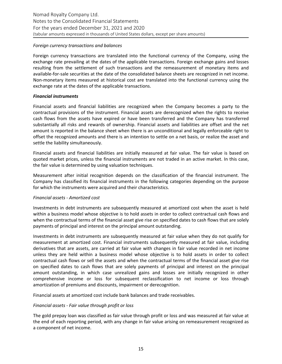#### *Foreign currency transactions and balances*

Foreign currency transactions are translated into the functional currency of the Company, using the exchange rate prevailing at the dates of the applicable transactions. Foreign exchange gains and losses resulting from the settlement of such transactions and the remeasurement of monetary items and available-for-sale securities at the date of the consolidated balance sheets are recognized in net income. Non-monetary items measured at historical cost are translated into the functional currency using the exchange rate at the dates of the applicable transactions.

#### *Financial instruments*

Financial assets and financial liabilities are recognized when the Company becomes a party to the contractual provisions of the instrument. Financial assets are derecognized when the rights to receive cash flows from the assets have expired or have been transferred and the Company has transferred substantially all risks and rewards of ownership. Financial assets and liabilities are offset and the net amount is reported in the balance sheet when there is an unconditional and legally enforceable right to offset the recognized amounts and there is an intention to settle on a net basis, or realize the asset and settle the liability simultaneously.

Financial assets and financial liabilities are initially measured at fair value. The fair value is based on quoted market prices, unless the financial instruments are not traded in an active market. In this case, the fair value is determined by using valuation techniques.

Measurement after initial recognition depends on the classification of the financial instrument. The Company has classified its financial instruments in the following categories depending on the purpose for which the instruments were acquired and their characteristics.

#### *Financial assets - Amortized cost*

Investments in debt instruments are subsequently measured at amortized cost when the asset is held within a business model whose objective is to hold assets in order to collect contractual cash flows and when the contractual terms of the financial asset give rise on specified dates to cash flows that are solely payments of principal and interest on the principal amount outstanding.

Investments in debt instruments are subsequently measured at fair value when they do not qualify for measurement at amortized cost. Financial instruments subsequently measured at fair value, including derivatives that are assets, are carried at fair value with changes in fair value recorded in net income unless they are held within a business model whose objective is to hold assets in order to collect contractual cash flows or sell the assets and when the contractual terms of the financial asset give rise on specified dates to cash flows that are solely payments of principal and interest on the principal amount outstanding, in which case unrealized gains and losses are initially recognized in other comprehensive income or loss for subsequent reclassification to net income or loss through amortization of premiums and discounts, impairment or derecognition.

Financial assets at amortized cost include bank balances and trade receivables.

#### *Financial assets - Fair value through profit or loss*

The gold prepay loan was classified as fair value through profit or loss and was measured at fair value at the end of each reporting period, with any change in fair value arising on remeasurement recognized as a component of net income.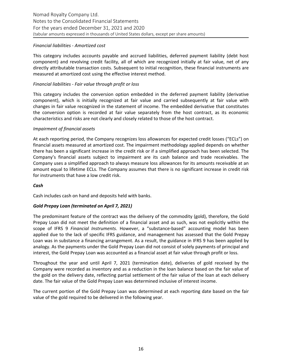#### *Financial liabilities - Amortized cost*

This category includes accounts payable and accrued liabilities, deferred payment liability (debt host component) and revolving credit facility, all of which are recognized initially at fair value, net of any directly attributable transaction costs. Subsequent to initial recognition, these financial instruments are measured at amortized cost using the effective interest method.

#### *Financial liabilities - Fair value through profit or loss*

This category includes the conversion option embedded in the deferred payment liability (derivative component), which is initially recognized at fair value and carried subsequently at fair value with changes in fair value recognized in the statement of income. The embedded derivative that constitutes the conversion option is recorded at fair value separately from the host contract, as its economic characteristics and risks are not clearly and closely related to those of the host contract.

#### *Impairment of financial assets*

At each reporting period, the Company recognizes loss allowances for expected credit losses ("ECLs") on financial assets measured at amortized cost. The impairment methodology applied depends on whether there has been a significant increase in the credit risk or if a simplified approach has been selected. The Company's financial assets subject to impairment are its cash balance and trade receivables. The Company uses a simplified approach to always measure loss allowances for its amounts receivable at an amount equal to lifetime ECLs. The Company assumes that there is no significant increase in credit risk for instruments that have a low credit risk.

#### *Cash*

Cash includes cash on hand and deposits held with banks.

# *Gold Prepay Loan (terminated on April 7, 2021)*

The predominant feature of the contract was the delivery of the commodity (gold), therefore, the Gold Prepay Loan did not meet the definition of a financial asset and as such, was not explicitly within the scope of IFRS 9 *Financial Instruments*. However, a "substance-based" accounting model has been applied due to the lack of specific IFRS guidance, and management has assessed that the Gold Prepay Loan was in substance a financing arrangement. As a result, the guidance in IFRS 9 has been applied by analogy. As the payments under the Gold Prepay Loan did not consist of solely payments of principal and interest, the Gold Prepay Loan was accounted as a financial asset at fair value through profit or loss.

Throughout the year and until April 7, 2021 (termination date), deliveries of gold received by the Company were recorded as inventory and as a reduction in the loan balance based on the fair value of the gold on the delivery date, reflecting partial settlement of the fair value of the loan at each delivery date. The fair value of the Gold Prepay Loan was determined inclusive of interest income.

The current portion of the Gold Prepay Loan was determined at each reporting date based on the fair value of the gold required to be delivered in the following year.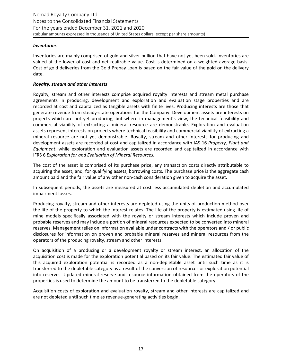#### *Inventories*

Inventories are mainly comprised of gold and silver bullion that have not yet been sold. Inventories are valued at the lower of cost and net realizable value. Cost is determined on a weighted average basis. Cost of gold deliveries from the Gold Prepay Loan is based on the fair value of the gold on the delivery date.

#### *Royalty, stream and other interests*

Royalty, stream and other interests comprise acquired royalty interests and stream metal purchase agreements in producing, development and exploration and evaluation stage properties and are recorded at cost and capitalized as tangible assets with finite lives. Producing interests are those that generate revenue from steady-state operations for the Company. Development assets are interests on projects which are not yet producing, but where in management's view, the technical feasibility and commercial viability of extracting a mineral resource are demonstrable. Exploration and evaluation assets represent interests on projects where technical feasibility and commercial viability of extracting a mineral resource are not yet demonstrable. Royalty, stream and other interests for producing and development assets are recorded at cost and capitalized in accordance with IAS 16 Property, Plant and *Equipment*, while exploration and evaluation assets are recorded and capitalized in accordance with IFRS 6 *Exploration for and Evaluation of Mineral Resources*.

The cost of the asset is comprised of its purchase price, any transaction costs directly attributable to acquiring the asset, and, for qualifying assets, borrowing costs. The purchase price is the aggregate cash amount paid and the fair value of any other non-cash consideration given to acquire the asset.

In subsequent periods, the assets are measured at cost less accumulated depletion and accumulated impairment losses.

Producing royalty, stream and other interests are depleted using the units-of-production method over the life of the property to which the interest relates. The life of the property is estimated using life of mine models specifically associated with the royalty or stream interests which include proven and probable reserves and may include a portion of mineral resources expected to be converted into mineral reserves. Management relies on information available under contracts with the operators and / or public disclosures for information on proven and probable mineral reserves and mineral resources from the operators of the producing royalty, stream and other interests.

On acquisition of a producing or a development royalty or stream interest, an allocation of the acquisition cost is made for the exploration potential based on its fair value. The estimated fair value of this acquired exploration potential is recorded as a non-depletable asset until such time as it is transferred to the depletable category as a result of the conversion of resources or exploration potential into reserves. Updated mineral reserve and resource information obtained from the operators of the properties is used to determine the amount to be transferred to the depletable category.

Acquisition costs of exploration and evaluation royalty, stream and other interests are capitalized and are not depleted until such time as revenue-generating activities begin.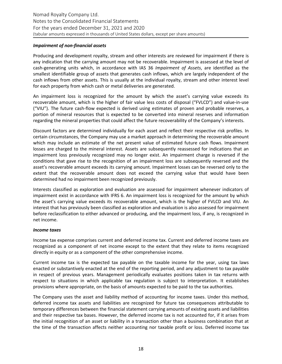#### *Impairment of non-financial assets*

Producing and development royalty, stream and other interests are reviewed for impairment if there is any indication that the carrying amount may not be recoverable. Impairment is assessed at the level of cash-generating units which, in accordance with IAS 36 Impairment of Assets, are identified as the smallest identifiable group of assets that generates cash inflows, which are largely independent of the cash inflows from other assets. This is usually at the individual royalty, stream and other interest level for each property from which cash or metal deliveries are generated.

An impairment loss is recognized for the amount by which the asset's carrying value exceeds its recoverable amount, which is the higher of fair value less costs of disposal ("FVLCD") and value-in-use ("VIU"). The future cash-flow expected is derived using estimates of proven and probable reserves, a portion of mineral resources that is expected to be converted into mineral reserves and information regarding the mineral properties that could affect the future recoverability of the Company's interests.

Discount factors are determined individually for each asset and reflect their respective risk profiles. In certain circumstances, the Company may use a market approach in determining the recoverable amount which may include an estimate of the net present value of estimated future cash flows. Impairment losses are charged to the mineral interest. Assets are subsequently reassessed for indications that an impairment loss previously recognized may no longer exist. An impairment charge is reversed if the conditions that gave rise to the recognition of an impairment loss are subsequently reversed and the asset's recoverable amount exceeds its carrying amount. Impairment losses can be reversed only to the extent that the recoverable amount does not exceed the carrying value that would have been determined had no impairment been recognized previously.

Interests classified as exploration and evaluation are assessed for impairment whenever indicators of impairment exist in accordance with IFRS 6. An impairment loss is recognized for the amount by which the asset's carrying value exceeds its recoverable amount, which is the higher of FVLCD and VIU. An interest that has previously been classified as exploration and evaluation is also assessed for impairment before reclassification to either advanced or producing, and the impairment loss, if any, is recognized in net income.

#### *Income taxes*

Income tax expense comprises current and deferred income tax. Current and deferred income taxes are recognized as a component of net income except to the extent that they relate to items recognized directly in equity or as a component of the other comprehensive income.

Current income tax is the expected tax payable on the taxable income for the year, using tax laws enacted or substantively enacted at the end of the reporting period, and any adjustment to tax payable in respect of previous years. Management periodically evaluates positions taken in tax returns with respect to situations in which applicable tax regulation is subject to interpretation. It establishes provisions where appropriate, on the basis of amounts expected to be paid to the tax authorities.

The Company uses the asset and liability method of accounting for income taxes. Under this method, deferred income tax assets and liabilities are recognized for future tax consequences attributable to temporary differences between the financial statement carrying amounts of existing assets and liabilities and their respective tax bases. However, the deferred income tax is not accounted for, if it arises from the initial recognition of an asset or liability in a transaction other than a business combination that at the time of the transaction affects neither accounting nor taxable profit or loss. Deferred income tax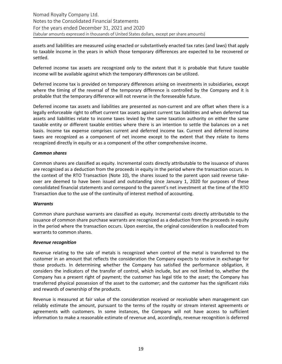assets and liabilities are measured using enacted or substantively enacted tax rates (and laws) that apply to taxable income in the years in which those temporary differences are expected to be recovered or settled.

Deferred income tax assets are recognized only to the extent that it is probable that future taxable income will be available against which the temporary differences can be utilized.

Deferred income tax is provided on temporary differences arising on investments in subsidiaries, except where the timing of the reversal of the temporary difference is controlled by the Company and it is probable that the temporary difference will not reverse in the foreseeable future.

Deferred income tax assets and liabilities are presented as non-current and are offset when there is a legally enforceable right to offset current tax assets against current tax liabilities and when deferred tax assets and liabilities relate to income taxes levied by the same taxation authority on either the same taxable entity or different taxable entities where there is an intention to settle the balances on a net basis. Income tax expense comprises current and deferred income tax. Current and deferred income taxes are recognized as a component of net income except to the extent that they relate to items recognized directly in equity or as a component of the other comprehensive income.

#### *Common shares*

Common shares are classified as equity. Incremental costs directly attributable to the issuance of shares are recognized as a deduction from the proceeds in equity in the period where the transaction occurs. In thecontext of the RTO Transaction (Note 10), the shares issued to the parent upon said reverse takeover are deemed to have been issued and outstanding since January 1, 2020 for purposes of these consolidated financial statements and correspond to the parent's net investment at the time of the RTO Transaction due to the use of the continuity of interest method of accounting.

#### *Warrants*

Common share purchase warrants are classified as equity. Incremental costs directly attributable to the issuance of common share purchase warrants are recognized as a deduction from the proceeds in equity in the period where the transaction occurs. Upon exercise, the original consideration is reallocated from warrants to common shares.

#### **Revenue** recognition

Revenue relating to the sale of metals is recognized when control of the metal is transferred to the customer in an amount that reflects the consideration the Company expects to receive in exchange for those products. In determining whether the Company has satisfied the performance obligation, it considers the indicators of the transfer of control, which include, but are not limited to, whether the Company has a present right of payment; the customer has legal title to the asset; the Company has transferred physical possession of the asset to the customer; and the customer has the significant risks and rewards of ownership of the products.

Revenue is measured at fair value of the consideration received or receivable when management can reliably estimate the amount, pursuant to the terms of the royalty or stream interest agreements or agreements with customers. In some instances, the Company will not have access to sufficient information to make a reasonable estimate of revenue and, accordingly, revenue recognition is deferred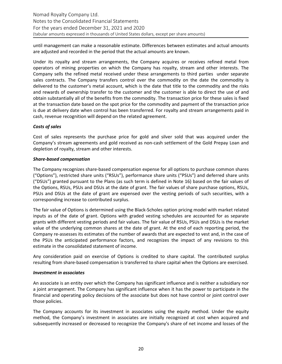until management can make a reasonable estimate. Differences between estimates and actual amounts are adjusted and recorded in the period that the actual amounts are known.

Under its royalty and stream arrangements, the Company acquires or receives refined metal from operators of mining properties on which the Company has royalty, stream and other interests. The Company sells the refined metal received under these arrangements to third parties under separate sales contracts. The Company transfers control over the commodity on the date the commodity is delivered to the customer's metal account, which is the date that title to the commodity and the risks and rewards of ownership transfer to the customer and the customer is able to direct the use of and obtain substantially all of the benefits from the commodity. The transaction price for these sales is fixed at the transaction date based on the spot price for the commodity and payment of the transaction price is due at delivery date when control has been transferred. For royalty and stream arrangements paid in cash, revenue recognition will depend on the related agreement.

#### *Costs of sales*

Cost of sales represents the purchase price for gold and silver sold that was acquired under the Company's stream agreements and gold received as non-cash settlement of the Gold Prepay Loan and depletion of royalty, stream and other interests.

#### *Share-based compensation*

The Company recognizes share-based compensation expense for all options to purchase common shares ("Options"), restricted share units ("RSUs"), performance share units ("PSUs") and deferred share units ("DSUs") granted pursuant to the Plans (as such term is defined in Note 16) based on the fair values of the Options, RSUs, PSUs and DSUs at the date of grant. The fair values of share purchase options, RSUs, PSUs and DSUs at the date of grant are expensed over the vesting periods of such securities, with a corresponding increase to contributed surplus.

The fair value of Options is determined using the Black-Scholes option pricing model with market related inputs as of the date of grant. Options with graded vesting schedules are accounted for as separate grants with different vesting periods and fair values. The fair value of RSUs, PSUs and DSUs is the market value of the underlying common shares at the date of grant. At the end of each reporting period, the Company re-assesses its estimates of the number of awards that are expected to vest and, in the case of the PSUs the anticipated performance factors, and recognizes the impact of any revisions to this estimate in the consolidated statement of income.

Any consideration paid on exercise of Options is credited to share capital. The contributed surplus resulting from share-based compensation is transferred to share capital when the Options are exercised.

#### *Investment in associates*

An associate is an entity over which the Company has significant influence and is neither a subsidiary nor a joint arrangement. The Company has significant influence when it has the power to participate in the financial and operating policy decisions of the associate but does not have control or joint control over those policies.

The Company accounts for its investment in associates using the equity method. Under the equity method, the Company's investment in associates are initially recognized at cost when acquired and subsequently increased or decreased to recognize the Company's share of net income and losses of the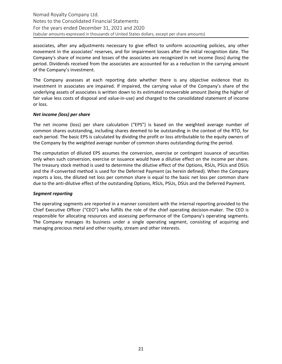associates, after any adjustments necessary to give effect to uniform accounting policies, any other movement in the associates' reserves, and for impairment losses after the initial recognition date. The Company's share of income and losses of the associates are recognized in net income (loss) during the period. Dividends received from the associates are accounted for as a reduction in the carrying amount of the Company's investment.

The Company assesses at each reporting date whether there is any objective evidence that its investment in associates are impaired. If impaired, the carrying value of the Company's share of the underlying assets of associates is written down to its estimated recoverable amount (being the higher of fair value less costs of disposal and value-in-use) and charged to the consolidated statement of income or loss.

#### *Net income (loss) per share*

The net income (loss) per share calculation ("EPS") is based on the weighted average number of common shares outstanding, including shares deemed to be outstanding in the context of the RTO, for each period. The basic EPS is calculated by dividing the profit or loss attributable to the equity owners of the Company by the weighted average number of common shares outstanding during the period.

The computation of diluted EPS assumes the conversion, exercise or contingent issuance of securities only when such conversion, exercise or issuance would have a dilutive effect on the income per share. The treasury stock method is used to determine the dilutive effect of the Options, RSUs, PSUs and DSUs and the if-converted method is used for the Deferred Payment (as herein defined). When the Company reports a loss, the diluted net loss per common share is equal to the basic net loss per common share due to the anti-dilutive effect of the outstanding Options, RSUs, PSUs, DSUs and the Deferred Payment.

#### *Segment reporting*

The operating segments are reported in a manner consistent with the internal reporting provided to the Chief Executive Officer ("CEO") who fulfills the role of the chief operating decision-maker. The CEO is responsible for allocating resources and assessing performance of the Company's operating segments. The Company manages its business under a single operating segment, consisting of acquiring and managing precious metal and other royalty, stream and other interests.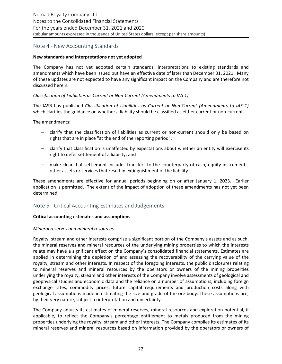# Note 4 - New Accounting Standards

#### New standards and interpretations not yet adopted

The Company has not yet adopted certain standards, interpretations to existing standards and amendments which have been issued but have an effective date of later than December 31, 2021. Many of these updates are not expected to have any significant impact on the Company and are therefore not discussed herein.

#### *Classification of Liabilities as Current or Non-Current (Amendments to IAS 1)*

The IASB has published *Classification of Liabilities as Current or Non-Current (Amendments to IAS 1)* which clarifies the guidance on whether a liability should be classified as either current or non-current.

The amendments:

- $-$  clarify that the classification of liabilities as current or non-current should only be based on rights that are in place "at the end of the reporting period";
- $-$  clarify that classification is unaffected by expectations about whether an entity will exercise its right to defer settlement of a liability; and
- $-$  make clear that settlement includes transfers to the counterparty of cash, equity instruments, other assets or services that result in extinguishment of the liability.

These amendments are effective for annual periods beginning on or after January 1, 2023. Earlier application is permitted. The extent of the impact of adoption of these amendments has not yet been determined. 

# Note 5 - Critical Accounting Estimates and Judgements

#### **Critical accounting estimates and assumptions**

#### *Mineral reserves and mineral resources*

Royalty, stream and other interests comprise a significant portion of the Company's assets and as such, the mineral reserves and mineral resources of the underlying mining properties to which the interests relate may have a significant effect on the Company's consolidated financial statements. Estimates are applied in determining the depletion of and assessing the recoverability of the carrying value of the royalty, stream and other interests. In respect of the foregoing interests, the public disclosures relating to mineral reserves and mineral resources by the operators or owners of the mining properties underlying the royalty, stream and other interests of the Company involve assessments of geological and geophysical studies and economic data and the reliance on a number of assumptions, including foreign exchange rates, commodity prices, future capital requirements and production costs along with geological assumptions made in estimating the size and grade of the ore body. These assumptions are, by their very nature, subject to interpretation and uncertainty.

The Company adjusts its estimates of mineral reserves, mineral resources and exploration potential, if applicable, to reflect the Company's percentage entitlement to metals produced from the mining properties underlying the royalty, stream and other interests. The Company compiles its estimates of its mineral reserves and mineral resources based on information provided by the operators or owners of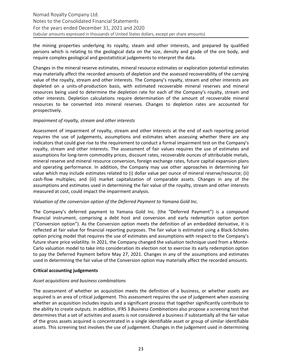the mining properties underlying its royalty, steam and other interests, and prepared by qualified persons which is relating to the geological data on the size, density and grade of the ore body, and require complex geological and geostatistical judgements to interpret the data.

Changes in the mineral reserve estimates, mineral resource estimates or exploration potential estimates may materially affect the recorded amounts of depletion and the assessed recoverability of the carrying value of the royalty, stream and other interests. The Company's royalty, stream and other interests are depleted on a units-of-production basis, with estimated recoverable mineral reserves and mineral resources being used to determine the depletion rate for each of the Company's royalty, stream and other interests. Depletion calculations require determination of the amount of recoverable mineral resources to be converted into mineral reserves. Changes to depletion rates are accounted for prospectively.

#### *Impairment of royalty, stream and other interests*

Assessment of impairment of royalty, stream and other interests at the end of each reporting period requires the use of judgements, assumptions and estimates when assessing whether there are any indicators that could give rise to the requirement to conduct a formal impairment test on the Company's royalty, stream and other interests. The assessment of fair values requires the use of estimates and assumptions for long-term commodity prices, discount rates, recoverable ounces of attributable metals, mineral reserve and mineral resource conversion, foreign exchange rates, future capital expansion plans and operating performance. In addition, the Company may use other approaches in determining fair value which may include estimates related to (i) dollar value per ounce of mineral reserve/resource; (ii) cash-flow multiples; and (iii) market capitalization of comparable assets. Changes in any of the assumptions and estimates used in determining the fair value of the royalty, stream and other interests measured at cost, could impact the impairment analysis.

#### *Valuation of the conversion option of the Deferred Payment to Yamana Gold Inc.*

The Company's deferred payment to Yamana Gold Inc. (the "Deferred Payment") is a compound financial instrument, comprising a debt host and conversion and early redemption option portion ("Conversion option"). As the Conversion option meets the definition of an embedded derivative, it is reflected at fair value for financial reporting purposes. The fair value is estimated using a Black-Scholes option pricing model that requires the use of estimates and assumptions with respect to the Company's future share price volatility. In 2021, the Company changed the valuation technique used from a Monte-Carlo valuation model to take into consideration its election not to exercise its early redemption option to pay the Deferred Payment before May 27, 2021. Changes in any of the assumptions and estimates used in determining the fair value of the Conversion option may materially affect the recorded amounts.

# **Critical accounting judgements**

# *Asset acquisitions and business combinations*

The assessment of whether an acquisition meets the definition of a business, or whether assets are acquired is an area of critical judgement. This assessment requires the use of judgement when assessing whether an acquisition includes inputs and a significant process that together significantly contribute to the ability to create outputs. In addition, IFRS 3 *Business Combinations* also propose a screening test that determines that a set of activities and assets is not considered a business if substantially all the fair value of the gross assets acquired is concentrated in a single identifiable asset or group of similar identifiable assets. This screening test involves the use of judgement. Changes in the judgement used in determining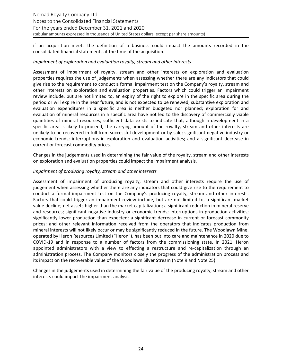if an acquisition meets the definition of a business could impact the amounts recorded in the consolidated financial statements at the time of the acquisition.

#### *Impairment of exploration and evaluation royalty, stream and other interests*

Assessment of impairment of royalty, stream and other interests on exploration and evaluation properties requires the use of judgements when assessing whether there are any indicators that could give rise to the requirement to conduct a formal impairment test on the Company's royalty, stream and other interests on exploration and evaluation properties. Factors which could trigger an impairment review include, but are not limited to, an expiry of the right to explore in the specific area during the period or will expire in the near future, and is not expected to be renewed; substantive exploration and evaluation expenditures in a specific area is neither budgeted nor planned; exploration for and evaluation of mineral resources in a specific area have not led to the discovery of commercially viable quantities of mineral resources; sufficient data exists to indicate that, although a development in a specific area is likely to proceed, the carrying amount of the royalty, stream and other interests are unlikely to be recovered in full from successful development or by sale; significant negative industry or economic trends; interruptions in exploration and evaluation activities; and a significant decrease in current or forecast commodity prices.

Changes in the judgements used in determining the fair value of the royalty, stream and other interests on exploration and evaluation properties could impact the impairment analysis.

#### *Impairment of producing royalty, stream and other interests*

Assessment of impairment of producing royalty, stream and other interests require the use of judgement when assessing whether there are any indicators that could give rise to the requirement to conduct a formal impairment test on the Company's producing royalty, stream and other interests. Factors that could trigger an impairment review include, but are not limited to, a significant market value decline; net assets higher than the market capitalization; a significant reduction in mineral reserve and resources; significant negative industry or economic trends; interruptions in production activities; significantly lower production than expected; a significant decrease in current or forecast commodity prices; and other relevant information received from the operators that indicates production from mineral interests will not likely occur or may be significantly reduced in the future. The Woodlawn Mine, operated by Heron Resources Limited ("Heron"), has been put into care and maintenance in 2020 due to COVID-19 and in response to a number of factors from the commissioning state. In 2021, Heron appointed administrators with a view to effecting a restructure and re-capitalization through an administration process. The Company monitors closely the progress of the administration process and its impact on the recoverable value of the Woodlawn Silver Stream (Note 9 and Note 25).

Changes in the judgements used in determining the fair value of the producing royalty, stream and other interests could impact the impairment analysis.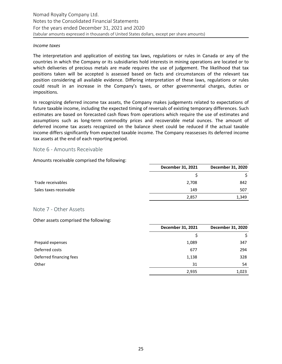#### <span id="page-24-0"></span>*Income taxes*

The interpretation and application of existing tax laws, regulations or rules in Canada or any of the countries in which the Company or its subsidiaries hold interests in mining operations are located or to which deliveries of precious metals are made requires the use of judgement. The likelihood that tax positions taken will be accepted is assessed based on facts and circumstances of the relevant tax position considering all available evidence. Differing interpretation of these laws, regulations or rules could result in an increase in the Company's taxes, or other governmental charges, duties or impositions. 

In recognizing deferred income tax assets, the Company makes judgements related to expectations of future taxable income, including the expected timing of reversals of existing temporary differences. Such estimates are based on forecasted cash flows from operations which require the use of estimates and assumptions such as long-term commodity prices and recoverable metal ounces. The amount of deferred income tax assets recognized on the balance sheet could be reduced if the actual taxable income differs significantly from expected taxable income. The Company reassesses its deferred income tax assets at the end of each reporting period.

#### Note 6 - Amounts Receivable

Amounts receivable comprised the following:

|                        | December 31, 2021 | December 31, 2020 |
|------------------------|-------------------|-------------------|
|                        |                   |                   |
| Trade receivables      | 2,708             | 842               |
| Sales taxes receivable | 149               | 507               |
|                        | 2,857             | 1,349             |

#### Note 7 - Other Assets

Other assets comprised the following:

|                         | December 31, 2021 | December 31, 2020 |
|-------------------------|-------------------|-------------------|
|                         |                   | \$                |
| Prepaid expenses        | 1,089             | 347               |
| Deferred costs          | 677               | 294               |
| Deferred financing fees | 1,138             | 328               |
| Other                   | 31                | 54                |
|                         | 2,935             | 1,023             |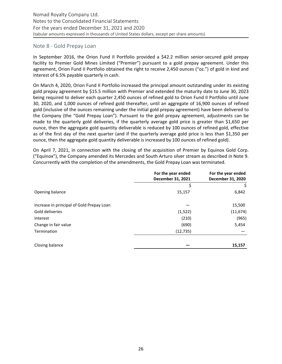#### Note 8 - Gold Prepay Loan

In September 2016, the Orion Fund II Portfolio provided a \$42.2 million senior-secured gold prepay facility to Premier Gold Mines Limited ("Premier") pursuant to a gold prepay agreement. Under this agreement, Orion Fund II Portfolio obtained the right to receive 2,450 ounces ("oz.") of gold in kind and interest of 6.5% payable quarterly in cash.

On March 4, 2020, Orion Fund II Portfolio increased the principal amount outstanding under its existing gold prepay agreement by \$15.5 million with Premier and extended the maturity date to June 30, 2023 being required to deliver each quarter 2,450 ounces of refined gold to Orion Fund II Portfolio until June 30, 2020, and 1,000 ounces of refined gold thereafter, until an aggregate of 16,900 ounces of refined gold (inclusive of the ounces remaining under the initial gold prepay agreement) have been delivered to the Company (the "Gold Prepay Loan"). Pursuant to the gold prepay agreement, adjustments can be made to the quarterly gold deliveries, if the quarterly average gold price is greater than \$1,650 per ounce, then the aggregate gold quantity deliverable is reduced by 100 ounces of refined gold, effective as of the first day of the next quarter (and if the quarterly average gold price is less than \$1,350 per ounce, then the aggregate gold quantity deliverable is increased by 100 ounces of refined gold).

On April 7, 2021, in connection with the closing of the acquisition of Premier by Equinox Gold Corp. ("Equinox"), the Company amended its Mercedes and South Arturo silver stream as described in Note 9. Concurrently with the completion of the amendments, the Gold Prepay Loan was terminated.

|                                           | For the year ended<br>December 31, 2021 | For the year ended<br>December 31, 2020 |
|-------------------------------------------|-----------------------------------------|-----------------------------------------|
|                                           | \$                                      | \$                                      |
| Opening balance                           | 15,157                                  | 6,842                                   |
| Increase in principal of Gold Prepay Loan |                                         | 15,500                                  |
| Gold deliveries                           | (1,522)                                 | (11, 674)                               |
| Interest                                  | (210)                                   | (965)                                   |
| Change in fair value                      | (690)                                   | 5,454                                   |
| Termination                               | (12, 735)                               |                                         |
| Closing balance                           |                                         | 15,157                                  |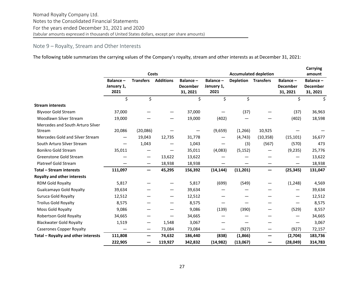# <span id="page-26-0"></span>Note 9 – Royalty, Stream and Other Interests

The following table summarizes the carrying values of the Company's royalty, stream and other interests as at December 31, 2021:

|                                     | Costs                          |                  |                  |                                         | <b>Accumulated depletion</b>   |                  |                  |                                         | <b>Carrying</b><br>amount               |  |
|-------------------------------------|--------------------------------|------------------|------------------|-----------------------------------------|--------------------------------|------------------|------------------|-----------------------------------------|-----------------------------------------|--|
|                                     | Balance-<br>January 1,<br>2021 | <b>Transfers</b> | <b>Additions</b> | Balance-<br><b>December</b><br>31, 2021 | Balance-<br>January 1,<br>2021 | <b>Depletion</b> | <b>Transfers</b> | Balance-<br><b>December</b><br>31, 2021 | Balance-<br><b>December</b><br>31, 2021 |  |
|                                     | \$                             | \$               |                  | \$                                      | \$                             | \$               |                  | \$                                      | \$                                      |  |
| <b>Stream interests</b>             |                                |                  |                  |                                         |                                |                  |                  |                                         |                                         |  |
| <b>Blyvoor Gold Stream</b>          | 37,000                         |                  |                  | 37,000                                  |                                | (37)             |                  | (37)                                    | 36,963                                  |  |
| Woodlawn Silver Stream              | 19,000                         |                  |                  | 19,000                                  | (402)                          |                  |                  | (402)                                   | 18,598                                  |  |
| Mercedes and South Arturo Silver    |                                |                  |                  |                                         |                                |                  |                  |                                         |                                         |  |
| Stream                              | 20,086                         | (20,086)         |                  |                                         | (9,659)                        | (1,266)          | 10,925           |                                         |                                         |  |
| Mercedes Gold and Silver Stream     |                                | 19,043           | 12,735           | 31,778                                  |                                | (4, 743)         | (10, 358)        | (15, 101)                               | 16,677                                  |  |
| South Arturo Silver Stream          |                                | 1,043            |                  | 1,043                                   |                                | (3)              | (567)            | (570)                                   | 473                                     |  |
| Bonikro Gold Stream                 | 35,011                         |                  |                  | 35,011                                  | (4,083)                        | (5, 152)         |                  | (9, 235)                                | 25,776                                  |  |
| Greenstone Gold Stream              |                                | —                | 13,622           | 13,622                                  |                                |                  |                  |                                         | 13,622                                  |  |
| <b>Platreef Gold Stream</b>         |                                |                  | 18,938           | 18,938                                  |                                |                  |                  |                                         | 18,938                                  |  |
| Total - Stream interests            | 111,097                        | —                | 45,295           | 156,392                                 | (14, 144)                      | (11, 201)        | —                | (25, 345)                               | 131,047                                 |  |
| <b>Royalty and other interests</b>  |                                |                  |                  |                                         |                                |                  |                  |                                         |                                         |  |
| RDM Gold Royalty                    | 5,817                          |                  |                  | 5,817                                   | (699)                          | (549)            |                  | (1, 248)                                | 4,569                                   |  |
| <b>Gualcamayo Gold Royalty</b>      | 39,634                         |                  |                  | 39,634                                  |                                |                  |                  |                                         | 39,634                                  |  |
| Suruca Gold Royalty                 | 12,512                         |                  |                  | 12,512                                  |                                |                  |                  | $\overline{\phantom{m}}$                | 12,512                                  |  |
| <b>Troilus Gold Royalty</b>         | 8,575                          |                  |                  | 8,575                                   |                                |                  |                  |                                         | 8,575                                   |  |
| Moss Gold Royalty                   | 9,086                          |                  |                  | 9,086                                   | (139)                          | (390)            |                  | (529)                                   | 8,557                                   |  |
| Robertson Gold Royalty              | 34,665                         |                  |                  | 34,665                                  |                                |                  |                  |                                         | 34,665                                  |  |
| <b>Blackwater Gold Royalty</b>      | 1,519                          |                  | 1,548            | 3,067                                   |                                |                  |                  |                                         | 3,067                                   |  |
| <b>Caserones Copper Royalty</b>     |                                | —                | 73,084           | 73,084                                  | -                              | (927)            | —                | (927)                                   | 72,157                                  |  |
| Total - Royalty and other interests | 111,808                        | —                | 74,632           | 186,440                                 | (838)                          | (1,866)          | —                | (2,704)                                 | 183,736                                 |  |
|                                     | 222,905                        |                  | 119,927          | 342,832                                 | (14, 982)                      | (13,067)         |                  | (28,049)                                | 314,783                                 |  |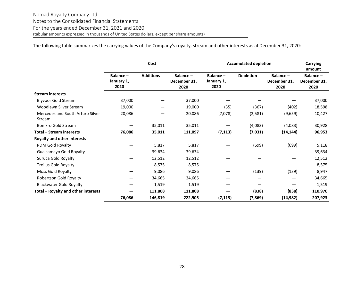The following table summarizes the carrying values of the Company's royalty, stream and other interests as at December 31, 2020:

|                                            | Cost                           |                  |                                  | <b>Accumulated depletion</b>   | <b>Carrying</b><br>amount |                                  |                                  |
|--------------------------------------------|--------------------------------|------------------|----------------------------------|--------------------------------|---------------------------|----------------------------------|----------------------------------|
|                                            | Balance-<br>January 1,<br>2020 | <b>Additions</b> | Balance-<br>December 31,<br>2020 | Balance-<br>January 1,<br>2020 | <b>Depletion</b>          | Balance-<br>December 31,<br>2020 | Balance-<br>December 31,<br>2020 |
| <b>Stream interests</b>                    |                                |                  |                                  |                                |                           |                                  |                                  |
| <b>Blyvoor Gold Stream</b>                 | 37,000                         |                  | 37,000                           |                                |                           |                                  | 37,000                           |
| Woodlawn Silver Stream                     | 19,000                         |                  | 19,000                           | (35)                           | (367)                     | (402)                            | 18,598                           |
| Mercedes and South Arturo Silver<br>Stream | 20,086                         |                  | 20,086                           | (7,078)                        | (2,581)                   | (9,659)                          | 10,427                           |
| <b>Bonikro Gold Stream</b>                 |                                | 35,011           | 35,011                           |                                | (4,083)                   | (4,083)                          | 30,928                           |
| <b>Total - Stream interests</b>            | 76,086                         | 35,011           | 111,097                          | (7, 113)                       | (7,031)                   | (14, 144)                        | 96,953                           |
| <b>Royalty and other interests</b>         |                                |                  |                                  |                                |                           |                                  |                                  |
| RDM Gold Royalty                           |                                | 5,817            | 5,817                            |                                | (699)                     | (699)                            | 5,118                            |
| <b>Gualcamayo Gold Royalty</b>             |                                | 39,634           | 39,634                           |                                |                           |                                  | 39,634                           |
| Suruca Gold Royalty                        |                                | 12,512           | 12,512                           |                                |                           |                                  | 12,512                           |
| <b>Troilus Gold Royalty</b>                |                                | 8,575            | 8,575                            |                                |                           |                                  | 8,575                            |
| Moss Gold Royalty                          |                                | 9,086            | 9,086                            |                                | (139)                     | (139)                            | 8,947                            |
| Robertson Gold Royalty                     |                                | 34,665           | 34,665                           |                                |                           |                                  | 34,665                           |
| <b>Blackwater Gold Royalty</b>             | —                              | 1,519            | 1,519                            | —                              |                           |                                  | 1,519                            |
| Total - Royalty and other interests        |                                | 111,808          | 111,808                          |                                | (838)                     | (838)                            | 110,970                          |
|                                            | 76,086                         | 146,819          | 222,905                          | (7, 113)                       | (7, 869)                  | (14, 982)                        | 207,923                          |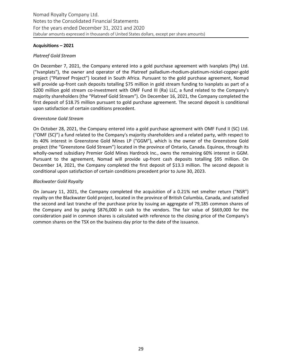#### Acquisitions - 2021

#### *Platreef Gold Stream*

On December 7, 2021, the Company entered into a gold purchase agreement with Ivanplats (Pty) Ltd. ("Ivanplats"), the owner and operator of the Platreef palladium-rhodium-platinum-nickel-copper-gold project ("Platreef Project") located in South Africa. Pursuant to the gold purchase agreement, Nomad will provide up-front cash deposits totalling \$75 million in gold stream funding to Ivanplats as part of a \$200 million gold stream co-investment with OMF Fund III (Ra) LLC, a fund related to the Company's majority shareholders (the "Platreef Gold Stream"). On December 16, 2021, the Company completed the first deposit of \$18.75 million pursuant to gold purchase agreement. The second deposit is conditional upon satisfaction of certain conditions precedent.

#### *Greenstone Gold Stream*

On October 28, 2021, the Company entered into a gold purchase agreement with OMF Fund II (SC) Ltd. ("OMF (SC)") a fund related to the Company's majority shareholders and a related party, with respect to its 40% interest in Greenstone Gold Mines LP ("GGM"), which is the owner of the Greenstone Gold project (the "Greenstone Gold Stream") located in the province of Ontario, Canada. Equinox, through its wholly-owned subsidiary Premier Gold Mines Hardrock Inc., owns the remaining 60% interest in GGM. Pursuant to the agreement, Nomad will provide up-front cash deposits totalling \$95 million. On December 14, 2021, the Company completed the first deposit of \$13.3 million. The second deposit is conditional upon satisfaction of certain conditions precedent prior to June 30, 2023.

#### *Blackwater Gold Royalty*

On January 11, 2021, the Company completed the acquisition of a 0.21% net smelter return ("NSR") royalty on the Blackwater Gold project, located in the province of British Columbia, Canada, and satisfied the second and last tranche of the purchase price by issuing an aggregate of 79,185 common shares of the Company and by paying  $$876,000$  in cash to the vendors. The fair value of  $$669,000$  for the consideration paid in common shares is calculated with reference to the closing price of the Company's common shares on the TSX on the business day prior to the date of the issuance.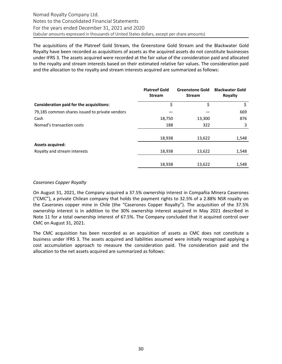The acquisitions of the Platreef Gold Stream, the Greenstone Gold Stream and the Blackwater Gold Royalty have been recorded as acquisitions of assets as the acquired assets do not constitute businesses under IFRS 3. The assets acquired were recorded at the fair value of the consideration paid and allocated to the royalty and stream interests based on their estimated relative fair values. The consideration paid and the allocation to the royalty and stream interests acquired are summarized as follows:

|                                                | <b>Platreef Gold</b><br><b>Stream</b> | <b>Greenstone Gold</b><br><b>Stream</b> | <b>Blackwater Gold</b><br>Royalty |
|------------------------------------------------|---------------------------------------|-----------------------------------------|-----------------------------------|
| Consideration paid for the acquisitions:       | \$                                    | \$                                      | Ś                                 |
| 79,185 common shares issued to private vendors |                                       |                                         | 669                               |
| Cash                                           | 18,750                                | 13,300                                  | 876                               |
| Nomad's transaction costs                      | 188                                   | 322                                     | 3                                 |
|                                                |                                       |                                         |                                   |
|                                                | 18,938                                | 13,622                                  | 1,548                             |
| <b>Assets acquired:</b>                        |                                       |                                         |                                   |
| Royalty and stream interests                   | 18,938                                | 13,622                                  | 1,548                             |
|                                                |                                       |                                         |                                   |
|                                                | 18,938                                | 13,622                                  | 1,548                             |

#### *Caserones Copper Royalty*

On August 31, 2021, the Company acquired a 37.5% ownership interest in Compañia Minera Caserones ("CMC"), a private Chilean company that holds the payment rights to 32.5% of a 2.88% NSR royalty on the Caserones copper mine in Chile (the "Caserones Copper Royalty"). The acquisition of the 37.5% ownership interest is in addition to the 30% ownership interest acquired in May 2021 described in Note 11 for a total ownership interest of 67.5%. The Company concluded that it acquired control over CMC on August 31, 2021.

The CMC acquisition has been recorded as an acquisition of assets as CMC does not constitute a business under IFRS 3. The assets acquired and liabilities assumed were initially recognized applying a cost accumulation approach to measure the consideration paid. The consideration paid and the allocation to the net assets acquired are summarized as follows: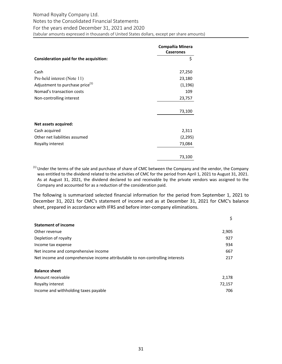# Nomad Royalty Company Ltd. Notes to the Consolidated Financial Statements For the years ended December 31, 2021 and 2020 (tabular amounts expressed in thousands of United States dollars, except per share amounts)

|                                             | Compañia Minera<br><b>Caserones</b> |
|---------------------------------------------|-------------------------------------|
| Consideration paid for the acquisition:     | \$                                  |
| Cash                                        | 27,250                              |
| Pre-held interest (Note 11)                 | 23,180                              |
| Adjustment to purchase price <sup>(1)</sup> | (1, 196)                            |
| Nomad's transaction costs                   | 109                                 |
| Non-controlling interest                    | 23,757                              |
|                                             | 73,100                              |
| Net assets acquired:                        |                                     |
| Cash acquired                               | 2,311                               |
| Other net liabilities assumed               | (2, 295)                            |
| Royalty interest                            | 73,084                              |
|                                             | 73,100                              |

 $<sup>(1)</sup>$  Under the terms of the sale and purchase of share of CMC between the Company and the vendor, the Company</sup> was entitled to the dividend related to the activities of CMC for the period from April 1, 2021 to August 31, 2021. As at August 31, 2021, the dividend declared to and receivable by the private vendors was assigned to the Company and accounted for as a reduction of the consideration paid.

The following is summarized selected financial information for the period from September 1, 2021 to December 31, 2021 for CMC's statement of income and as at December 31, 2021 for CMC's balance sheet, prepared in accordance with IFRS and before inter-company eliminations.

| <b>Statement of income</b>                                                    |        |
|-------------------------------------------------------------------------------|--------|
| Other revenue                                                                 | 2,905  |
| Depletion of royalty                                                          | 927    |
| Income tax expense                                                            | 934    |
| Net income and comprehensive income                                           | 667    |
| Net income and comprehensive income attributable to non-controlling interests | 217    |
|                                                                               |        |
| <b>Balance sheet</b>                                                          |        |
| Amount receivable                                                             | 2,178  |
| Royalty interest                                                              | 72,157 |

Income and withholding taxes payable *706*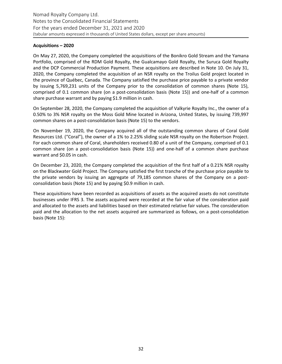#### Acquisitions - 2020

On May 27, 2020, the Company completed the acquisitions of the Bonikro Gold Stream and the Yamana Portfolio, comprised of the RDM Gold Royalty, the Gualcamayo Gold Royalty, the Suruca Gold Royalty and the DCP Commercial Production Payment. These acquisitions are described in Note 10. On July 31, 2020, the Company completed the acquisition of an NSR royalty on the Troilus Gold project located in the province of Québec, Canada. The Company satisfied the purchase price payable to a private vendor by issuing 5,769,231 units of the Company prior to the consolidation of common shares (Note 15), comprised of 0.1 common share (on a post-consolidation basis (Note 15)) and one-half of a common share purchase warrant and by paying \$1.9 million in cash.

On September 28, 2020, the Company completed the acquisition of Valkyrie Royalty Inc., the owner of a 0.50% to 3% NSR royalty on the Moss Gold Mine located in Arizona, United States, by issuing 739,997 common shares on a post-consolidation basis (Note 15) to the vendors.

On November 19, 2020, the Company acquired all of the outstanding common shares of Coral Gold Resources Ltd. ("Coral"), the owner of a 1% to 2.25% sliding scale NSR royalty on the Robertson Project. For each common share of Coral, shareholders received 0.80 of a unit of the Company, comprised of 0.1 common share (on a post-consolidation basis (Note 15)) and one-half of a common share purchase warrant and \$0.05 in cash.

On December 23, 2020, the Company completed the acquisition of the first half of a 0.21% NSR royalty on the Blackwater Gold Project. The Company satisfied the first tranche of the purchase price payable to the private vendors by issuing an aggregate of 79,185 common shares of the Company on a postconsolidation basis (Note 15) and by paying \$0.9 million in cash.

These acquisitions have been recorded as acquisitions of assets as the acquired assets do not constitute businesses under IFRS 3. The assets acquired were recorded at the fair value of the consideration paid and allocated to the assets and liabilities based on their estimated relative fair values. The consideration paid and the allocation to the net assets acquired are summarized as follows, on a post-consolidation basis (Note 15):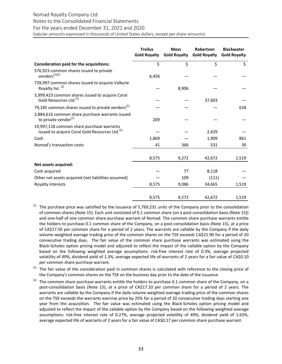# Nomad Royalty Company Ltd. Notes to the Consolidated Financial Statements For the years ended December 31, 2021 and 2020

|                                                                                                         | <b>Troilus</b><br><b>Gold Royalty</b> | <b>Moss</b><br><b>Gold Royalty</b> | <b>Robertson</b><br><b>Gold Royalty</b> | <b>Blackwater</b><br><b>Gold Royalty</b> |
|---------------------------------------------------------------------------------------------------------|---------------------------------------|------------------------------------|-----------------------------------------|------------------------------------------|
| Consideration paid for the acquisitions:                                                                | \$                                    | \$                                 | \$                                      | \$                                       |
| 576,923 common shares issued to private<br>vendors $^{(1)(2)}$                                          | 6,456                                 |                                    |                                         |                                          |
| 739,997 common shares issued to acquire Valkyrie<br>Royalty Inc. (2)                                    |                                       | 8,906                              |                                         |                                          |
| 3,999,423 common shares issued to acquire Coral<br>Gold Resources Ltd. <sup>(2)</sup>                   |                                       |                                    | 37,603                                  |                                          |
| 79,185 common shares issued to private vendors <sup>(2)</sup>                                           |                                       |                                    |                                         | 628                                      |
| 2,884,616 common share purchase warrants issued<br>to private vendor $(1)$                              | 209                                   |                                    |                                         |                                          |
| 19,997,118 common share purchase warrants<br>issued to acquire Coral Gold Resources Ltd. <sup>(3)</sup> |                                       |                                    | 2,629                                   |                                          |
| Cash                                                                                                    | 1,869                                 |                                    | 1,909                                   | 861                                      |
| Nomad's transaction costs                                                                               | 41                                    | 366                                | 531                                     | 30                                       |
|                                                                                                         | 8,575                                 | 9,272                              | 42,672                                  | 1,519                                    |
| Net assets acquired:                                                                                    |                                       |                                    |                                         |                                          |
| Cash acquired                                                                                           |                                       | 77                                 | 8,118                                   |                                          |
| Other net assets acquired (net liabilities assumed)                                                     |                                       | 109                                | (111)                                   |                                          |
| Royalty interests                                                                                       | 8,575                                 | 9,086                              | 34,665                                  | 1,519                                    |
|                                                                                                         | 8,575                                 | 9,272                              | 42,672                                  | 1,519                                    |

- $(1)$  The purchase price was satisfied by the issuance of 5,769,231 units of the Company prior to the consolidation of common shares (Note 15). Each unit consisted of 0.1 common share (on a post-consolidation basis (Note 15)) and one-half of one common share purchase warrant of Nomad. The common share purchase warrants entitle the holders to purchase 0.1 common share of the Company, on a post-consolidation basis (Note 15), at a price of CA\$17.50 per common share for a period of 2 years. The warrants are callable by the Company if the daily volume weighted average trading price of the common shares on the TSX exceeds CA\$21.90 for a period of 20 consecutive trading days. The fair value of the common share purchase warrants was estimated using the Black-Scholes option pricing model and adjusted to reflect the impact of the callable option by the Company based on the following weighted average assumptions: risk-free interest rate of 0.3%, average projected volatility of 49%, dividend yield of 1.3%, average expected life of warrants of 2 years for a fair value of CA\$0.10 per common share purchase warrant.
- (2) The fair value of the consideration paid in common shares is calculated with reference to the closing price of the Company's common shares on the TSX on the business day prior to the date of the issuance.
- $^{(3)}$  The common share purchase warrants entitle the holders to purchase 0.1 common share of the Company, on a post-consolidation basis (Note 15), at a price of CA\$17.10 per common share for a period of 2 years. The warrants are callable by the Company if the daily volume weighted average trading price of the common shares on the TSX exceeds the warrants exercise price by 25% for a period of 20 consecutive trading days starting one year from the acquisition. The fair value was estimated using the Black-Scholes option pricing model and adjusted to reflect the impact of the callable option by the Company based on the following weighted average assumptions: risk-free interest rate of 0.27%, average projected volatility of 49%, dividend yield of 1.63%, average expected life of warrants of 2 years for a fair value of CA\$0.17 per common share purchase warrant.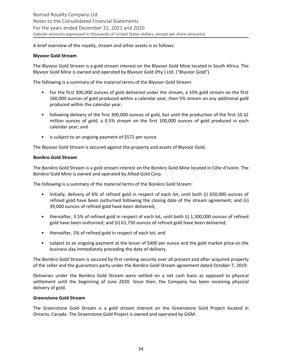A brief overview of the royalty, stream and other assets is as follows:

#### **Blyvoor Gold Stream**

The Blyvoor Gold Stream is a gold stream interest on the Blyvoor Gold Mine located in South Africa. The Blyvoor Gold Mine is owned and operated by Blyvoor Gold (Pty.) Ltd. ("Blyvoor Gold").

The following is a summary of the material terms of the Blyvoor Gold Stream:

- For the first 300,000 ounces of gold delivered under the stream, a 10% gold stream on the first 160,000 ounces of gold produced within a calendar year, then 5% stream on any additional gold produced within the calendar year;
- following delivery of the first 300,000 ounces of gold, but until the production of the first 10.32 million ounces of gold, a 0.5% stream on the first 100,000 ounces of gold produced in each calendar year; and
- is subject to an ongoing payment of \$572 per ounce.

The Blyvoor Gold Stream is secured against the property and assets of Blyvoor Gold.

#### **Bonikro Gold Stream**

The Bonikro Gold Stream is a gold stream interest on the Bonikro Gold Mine located in Côte d'Ivoire. The Bonikro Gold Mine is owned and operated by Allied Gold Corp.

The following is a summary of the material terms of the Bonikro Gold Stream:

- Initially, delivery of 6% of refined gold in respect of each lot, until both (i) 650,000 ounces of refined gold have been outturned following the closing date of the stream agreement; and (ii) 39,000 ounces of refined gold have been delivered;
- thereafter, 3.5% of refined gold in respect of each lot, until both (i) 1,300,000 ounces of refined gold have been outturned; and (ii) 61,750 ounces of refined gold have been delivered;
- thereafter, 2% of refined gold in respect of each lot; and
- subject to an ongoing payment at the lesser of \$400 per ounce and the gold market price on the business day immediately preceding the date of delivery.

The Bonikro Gold Stream is secured by first ranking security over all present and after acquired property of the seller and the guarantors party under the Bonikro Gold Stream agreement dated October 7, 2019.

Deliveries under the Bonikro Gold Stream were settled on a net cash basis as opposed to physical settlement until the beginning of June 2020. Since then, the Company has been receiving physical delivery of gold.

#### **Greenstone Gold Stream**

The Greenstone Gold Stream is a gold stream interest on the Greenstone Gold Project located in Ontario, Canada. The Greenstone Gold Project is owned and operated by GGM.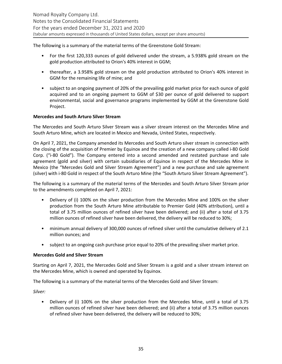The following is a summary of the material terms of the Greenstone Gold Stream:

- For the first 120,333 ounces of gold delivered under the stream, a 5.938% gold stream on the gold production attributed to Orion's 40% interest in GGM;
- thereafter, a 3.958% gold stream on the gold production attributed to Orion's 40% interest in GGM for the remaining life of mine; and
- subject to an ongoing payment of 20% of the prevailing gold market price for each ounce of gold acquired and to an ongoing payment to GGM of \$30 per ounce of gold delivered to support environmental, social and governance programs implemented by GGM at the Greenstone Gold Project.

#### **Mercedes and South Arturo Silver Stream**

The Mercedes and South Arturo Silver Stream was a silver stream interest on the Mercedes Mine and South Arturo Mine, which are located in Mexico and Nevada, United States, respectively.

On April 7, 2021, the Company amended its Mercedes and South Arturo silver stream in connection with the closing of the acquisition of Premier by Equinox and the creation of a new company called i-80 Gold Corp. ("i-80 Gold"). The Company entered into a second amended and restated purchase and sale agreement (gold and silver) with certain subsidiaries of Equinox in respect of the Mercedes Mine in Mexico (the "Mercedes Gold and Silver Stream Agreement") and a new purchase and sale agreement (silver) with i-80 Gold in respect of the South Arturo Mine (the "South Arturo Silver Stream Agreement").

The following is a summary of the material terms of the Mercedes and South Arturo Silver Stream prior to the amendments completed on April 7, 2021:

- Delivery of (i) 100% on the silver production from the Mercedes Mine and 100% on the silver production from the South Arturo Mine attributable to Premier Gold (40% attribution), until a total of 3.75 million ounces of refined silver have been delivered; and (ii) after a total of 3.75 million ounces of refined silver have been delivered, the delivery will be reduced to 30%;
- minimum annual delivery of 300,000 ounces of refined silver until the cumulative delivery of 2.1 million ounces; and
- subject to an ongoing cash purchase price equal to 20% of the prevailing silver market price.

#### **Mercedes Gold and Silver Stream**

Starting on April 7, 2021, the Mercedes Gold and Silver Stream is a gold and a silver stream interest on the Mercedes Mine, which is owned and operated by Equinox.

The following is a summary of the material terms of the Mercedes Gold and Silver Stream:

*Silver:* 

• Delivery of (i) 100% on the silver production from the Mercedes Mine, until a total of 3.75 million ounces of refined silver have been delivered; and (ii) after a total of 3.75 million ounces of refined silver have been delivered, the delivery will be reduced to 30%;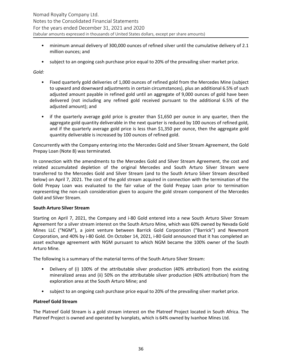- minimum annual delivery of 300,000 ounces of refined silver until the cumulative delivery of 2.1 million ounces; and
- subject to an ongoing cash purchase price equal to 20% of the prevailing silver market price.

*Gold:*

- Fixed quarterly gold deliveries of 1,000 ounces of refined gold from the Mercedes Mine (subject to upward and downward adjustments in certain circumstances), plus an additional 6.5% of such adjusted amount payable in refined gold until an aggregate of 9,000 ounces of gold have been delivered (not including any refined gold received pursuant to the additional 6.5% of the adjusted amount); and
- if the quarterly average gold price is greater than \$1,650 per ounce in any quarter, then the aggregate gold quantity deliverable in the next quarter is reduced by 100 ounces of refined gold, and if the quarterly average gold price is less than \$1,350 per ounce, then the aggregate gold quantity deliverable is increased by 100 ounces of refined gold.

Concurrently with the Company entering into the Mercedes Gold and Silver Stream Agreement, the Gold Prepay Loan (Note 8) was terminated.

In connection with the amendments to the Mercedes Gold and Silver Stream Agreement, the cost and related accumulated depletion of the original Mercedes and South Arturo Silver Stream were transferred to the Mercedes Gold and Silver Stream (and to the South Arturo Silver Stream described below) on April 7, 2021. The cost of the gold stream acquired in connection with the termination of the Gold Prepay Loan was evaluated to the fair value of the Gold Prepay Loan prior to termination representing the non-cash consideration given to acquire the gold stream component of the Mercedes Gold and Silver Stream.

#### **South Arturo Silver Stream**

Starting on April 7, 2021, the Company and i-80 Gold entered into a new South Arturo Silver Stream Agreement for a silver stream interest on the South Arturo Mine, which was 60% owned by Nevada Gold Mines LLC ("NGM"), a joint venture between Barrick Gold Corporation ("Barrick") and Newmont Corporation, and 40% by i-80 Gold. On October 14, 2021, i-80 Gold announced that it has completed an asset exchange agreement with NGM pursuant to which NGM became the 100% owner of the South Arturo Mine.

The following is a summary of the material terms of the South Arturo Silver Stream:

- Delivery of (i) 100% of the attributable silver production  $(40\%$  attribution) from the existing mineralized areas and (ii) 50% on the attributable silver production (40% attribution) from the exploration area at the South Arturo Mine; and
- subject to an ongoing cash purchase price equal to 20% of the prevailing silver market price.

# **Platreef Gold Stream**

The Platreef Gold Stream is a gold stream interest on the Platreef Project located in South Africa. The Platreef Project is owned and operated by Ivanplats, which is 64% owned by Ivanhoe Mines Ltd.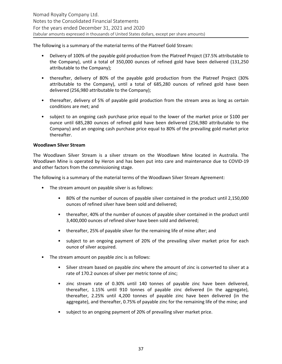The following is a summary of the material terms of the Platreef Gold Stream:

- Delivery of 100% of the payable gold production from the Platreef Project (37.5% attributable to the Company), until a total of 350,000 ounces of refined gold have been delivered (131,250 attributable to the Company);
- thereafter, delivery of 80% of the payable gold production from the Platreef Project (30% attributable to the Company), until a total of 685,280 ounces of refined gold have been delivered (256,980 attributable to the Company);
- thereafter, delivery of 5% of payable gold production from the stream area as long as certain conditions are met; and
- subject to an ongoing cash purchase price equal to the lower of the market price or \$100 per ounce until 685,280 ounces of refined gold have been delivered (256,980 attributable to the Company) and an ongoing cash purchase price equal to 80% of the prevailing gold market price thereafter.

#### **Woodlawn Silver Stream**

The Woodlawn Silver Stream is a silver stream on the Woodlawn Mine located in Australia. The Woodlawn Mine is operated by Heron and has been put into care and maintenance due to COVID-19 and other factors from the commissioning stage.

The following is a summary of the material terms of the Woodlawn Silver Stream Agreement:

- The stream amount on payable silver is as follows:
	- 80% of the number of ounces of payable silver contained in the product until 2,150,000 ounces of refined silver have been sold and delivered;
	- thereafter, 40% of the number of ounces of payable silver contained in the product until 3,400,000 ounces of refined silver have been sold and delivered;
	- thereafter, 25% of payable silver for the remaining life of mine after; and
	- subject to an ongoing payment of 20% of the prevailing silver market price for each ounce of silver acquired.
- The stream amount on payable zinc is as follows:
	- Silver stream based on payable zinc where the amount of zinc is converted to silver at a rate of 170.2 ounces of silver per metric tonne of zinc;
	- zinc stream rate of 0.30% until 140 tonnes of payable zinc have been delivered, thereafter, 1.15% until 910 tonnes of payable zinc delivered (in the aggregate), thereafter, 2.25% until 4,200 tonnes of payable zinc have been delivered (in the aggregate), and thereafter, 0.75% of payable zinc for the remaining life of the mine; and
	- subject to an ongoing payment of 20% of prevailing silver market price.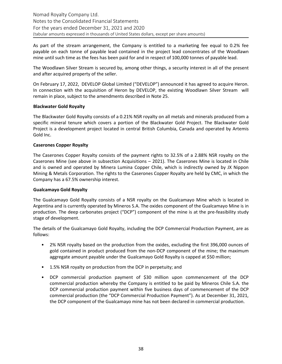As part of the stream arrangement, the Company is entitled to a marketing fee equal to 0.2% fee payable on each tonne of payable lead contained in the project lead concentrates of the Woodlawn mine until such time as the fees has been paid for and in respect of 100,000 tonnes of payable lead.

The Woodlawn Silver Stream is secured by, among other things, a security interest in all of the present and after acquired property of the seller.

On February 17, 2022, DEVELOP Global Limited ("DEVELOP") announced it has agreed to acquire Heron. In connection with the acquisition of Heron by DEVELOP, the existing Woodlawn Silver Stream will remain in place, subject to the amendments described in Note 25.

#### **Blackwater Gold Royalty**

The Blackwater Gold Royalty consists of a 0.21% NSR royalty on all metals and minerals produced from a specific mineral tenure which covers a portion of the Blackwater Gold Project. The Blackwater Gold Project is a development project located in central British Columbia, Canada and operated by Artemis Gold Inc.

#### **Caserones Copper Royalty**

The Caserones Copper Royalty consists of the payment rights to 32.5% of a 2.88% NSR royalty on the Caserones Mine (see above in subsection Acquisitions  $-$  2021). The Caserones Mine is located in Chile and is owned and operated by Minera Lumina Copper Chile, which is indirectly owned by JX Nippon Mining & Metals Corporation. The rights to the Caserones Copper Royalty are held by CMC, in which the Company has a 67.5% ownership interest.

#### **Gualcamayo Gold Royalty**

The Gualcamayo Gold Royalty consists of a NSR royalty on the Gualcamayo Mine which is located in Argentina and is currently operated by Mineros S.A. The oxides component of the Gualcamayo Mine is in production. The deep carbonates project ("DCP") component of the mine is at the pre-feasibility study stage of development.

The details of the Gualcamayo Gold Royalty, including the DCP Commercial Production Payment, are as follows:

- 2% NSR royalty based on the production from the oxides, excluding the first 396,000 ounces of gold contained in product produced from the non-DCP component of the mine; the maximum aggregate amount payable under the Gualcamayo Gold Royalty is capped at \$50 million;
- 1.5% NSR royalty on production from the DCP in perpetuity; and
- DCP commercial production payment of \$30 million upon commencement of the DCP commercial production whereby the Company is entitled to be paid by Mineros Chile S.A. the DCP commercial production payment within five business days of commencement of the DCP commercial production (the "DCP Commercial Production Payment"). As at December 31, 2021, the DCP component of the Gualcamayo mine has not been declared in commercial production.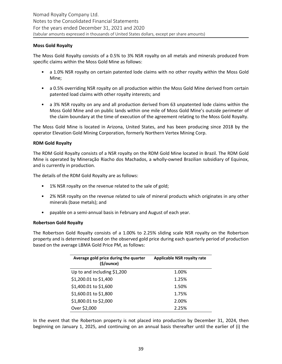## **Moss Gold Royalty**

The Moss Gold Royalty consists of a 0.5% to 3% NSR royalty on all metals and minerals produced from specific claims within the Moss Gold Mine as follows:

- a 1.0% NSR royalty on certain patented lode claims with no other royalty within the Moss Gold Mine;
- a 0.5% overriding NSR royalty on all production within the Moss Gold Mine derived from certain patented load claims with other royalty interests; and
- a 3% NSR royalty on any and all production derived from 63 unpatented lode claims within the Moss Gold Mine and on public lands within one mile of Moss Gold Mine's outside perimeter of the claim boundary at the time of execution of the agreement relating to the Moss Gold Royalty.

The Moss Gold Mine is located in Arizona, United States, and has been producing since 2018 by the operator Elevation Gold Mining Corporation, formerly Northern Vertex Mining Corp.

#### **RDM Gold Royalty**

The RDM Gold Royalty consists of a NSR royalty on the RDM Gold Mine located in Brazil. The RDM Gold Mine is operated by Mineração Riacho dos Machados, a wholly-owned Brazilian subsidiary of Equinox, and is currently in production.

The details of the RDM Gold Royalty are as follows:

- 1% NSR royalty on the revenue related to the sale of gold;
- 2% NSR royalty on the revenue related to sale of mineral products which originates in any other minerals (base metals); and
- payable on a semi-annual basis in February and August of each year.

#### **Robertson Gold Royalty**

The Robertson Gold Royalty consists of a 1.00% to 2.25% sliding scale NSR royalty on the Robertson property and is determined based on the observed gold price during each quarterly period of production based on the average LBMA Gold Price PM, as follows:

| Average gold price during the quarter<br>$(\frac{1}{2})ounce$ | <b>Applicable NSR royalty rate</b> |
|---------------------------------------------------------------|------------------------------------|
| Up to and including \$1,200                                   | 1.00%                              |
| \$1,200.01 to \$1,400                                         | 1.25%                              |
| \$1,400.01 to \$1,600                                         | 1.50%                              |
| \$1,600.01 to \$1,800                                         | 1.75%                              |
| \$1,800.01 to \$2,000                                         | 2.00%                              |
| Over \$2,000                                                  | 2.25%                              |

In the event that the Robertson property is not placed into production by December 31, 2024, then beginning on January 1, 2025, and continuing on an annual basis thereafter until the earlier of (i) the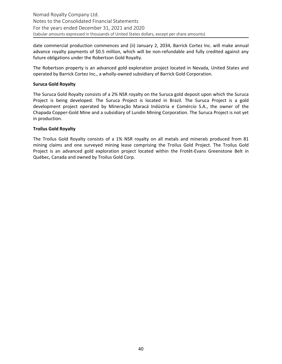date commercial production commences and (ii) January 2, 2034, Barrick Cortez Inc. will make annual advance royalty payments of \$0.5 million, which will be non-refundable and fully credited against any future obligations under the Robertson Gold Royalty.

The Robertson property is an advanced gold exploration project located in Nevada, United States and operated by Barrick Cortez Inc., a wholly-owned subsidiary of Barrick Gold Corporation.

#### **Suruca Gold Royalty**

The Suruca Gold Royalty consists of a 2% NSR royalty on the Suruca gold deposit upon which the Suruca Project is being developed. The Suruca Project is located in Brazil. The Suruca Project is a gold development project operated by Mineração Maracá Indústria e Comércio S.A., the owner of the Chapada Copper-Gold Mine and a subsidiary of Lundin Mining Corporation. The Suruca Project is not yet in production.

#### **Troilus Gold Royalty**

The Troilus Gold Royalty consists of a 1% NSR royalty on all metals and minerals produced from 81 mining claims and one surveyed mining lease comprising the Troilus Gold Project. The Troilus Gold Project is an advanced gold exploration project located within the Frotêt-Evans Greenstone Belt in Québec, Canada and owned by Troilus Gold Corp.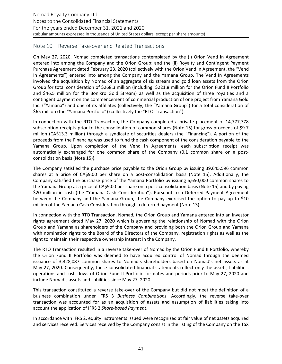# <span id="page-40-0"></span>Note 10 – Reverse Take-over and Related Transactions

On May 27, 2020, Nomad completed transactions contemplated by the (i) Orion Vend In Agreement entered into among the Company and the Orion Group; and the (ii) Royalty and Contingent Payment Purchase Agreement dated February 23, 2020 (collectively with the Orion Vend In Agreement, the "Vend In Agreements") entered into among the Company and the Yamana Group. The Vend In Agreements involved the acquisition by Nomad of an aggregate of six stream and gold loan assets from the Orion Group for total consideration of \$268.3 million (including \$221.8 million for the Orion Fund II Portfolio and \$46.5 million for the Bonikro Gold Stream) as well as the acquisition of three royalties and a contingent payment on the commencement of commercial production of one project from Yamana Gold Inc. ("Yamana") and one of its affiliates (collectively, the "Yamana Group") for a total consideration of \$65 million (the "Yamana Portfolio") (collectively the "RTO Transaction").

In connection with the RTO Transaction, the Company completed a private placement of 14,777,778 subscription receipts prior to the consolidation of common shares (Note 15) for gross proceeds of \$9.7 million (CA\$13.3 million) through a syndicate of securities dealers (the "Financing"). A portion of the proceeds from the Financing was used to fund the cash component of the consideration payable to the Yamana Group. Upon completion of the Vend In Agreements, each subscription receipt was automatically exchanged for one common share of the Company (0.1 common share on a postconsolidation basis (Note 15)).

The Company satisfied the purchase price payable to the Orion Group by issuing 39,645,596 common shares at a price of CA\$9.00 per share on a post-consolidation basis (Note 15). Additionally, the Company satisfied the purchase price of the Yamana Portfolio by issuing 6,650,000 common shares to the Yamana Group at a price of CA\$9.00 per share on a post-consolidation basis (Note 15) and by paying \$20 million in cash (the "Yamana Cash Consideration"). Pursuant to a Deferred Payment Agreement between the Company and the Yamana Group, the Company exercised the option to pay up to \$10 million of the Yamana Cash Consideration through a deferred payment (Note 13).

In connection with the RTO Transaction, Nomad, the Orion Group and Yamana entered into an investor rights agreement dated May 27, 2020 which is governing the relationship of Nomad with the Orion Group and Yamana as shareholders of the Company and providing both the Orion Group and Yamana with nomination rights to the Board of the Directors of the Company, registration rights as well as the right to maintain their respective ownership interest in the Company.

The RTO Transaction resulted in a reverse take-over of Nomad by the Orion Fund II Portfolio, whereby the Orion Fund II Portfolio was deemed to have acquired control of Nomad through the deemed issuance of 3,328,087 common shares to Nomad's shareholders based on Nomad's net assets as at May 27, 2020. Consequently, these consolidated financial statements reflect only the assets, liabilities, operations and cash flows of Orion Fund II Portfolio for dates and periods prior to May 27, 2020 and include Nomad's assets and liabilities since May 27, 2020.

This transaction constituted a reverse take-over of the Company but did not meet the definition of a business combination under IFRS 3 Business Combinations. Accordingly, the reverse take-over transaction was accounted for as an acquisition of assets and assumption of liabilities taking into account the application of IFRS 2 Share-based Payment.

In accordance with IFRS 2, equity instruments issued were recognized at fair value of net assets acquired and services received. Services received by the Company consist in the listing of the Company on the TSX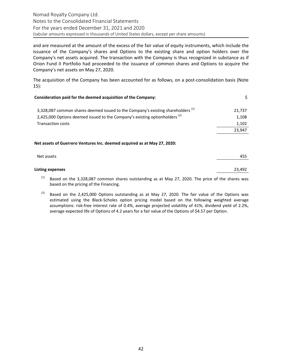and are measured at the amount of the excess of the fair value of equity instruments, which include the issuance of the Company's shares and Options to the existing share and option holders over the Company's net assets acquired. The transaction with the Company is thus recognized in substance as if Orion Fund II Portfolio had proceeded to the issuance of common shares and Options to acquire the Company's net assets on May 27, 2020.

The acquisition of the Company has been accounted for as follows, on a post-consolidation basis (Note [15](#page-45-0)):

| Consideration paid for the deemed acquisition of the Company:                               |        |
|---------------------------------------------------------------------------------------------|--------|
| 3,328,087 common shares deemed issued to the Company's existing shareholders <sup>(1)</sup> | 21,737 |
| 2,425,000 Options deemed issued to the Company's existing optionholders <sup>(2)</sup>      | 1,108  |
| <b>Transaction costs</b>                                                                    | 1,102  |
|                                                                                             | 23,947 |
| Net assets of Guerrero Ventures Inc. deemed acquired as at May 27, 2020:                    |        |
| Net assets                                                                                  | 455    |

| Listing expenses                                                                                 | 23.492 |
|--------------------------------------------------------------------------------------------------|--------|
| Rased on the 3.328.087 common shares outstanding as at May 27, 2020. The price of the shares was |        |

Based on the 3,328,087 common shares outstanding as at May 27, 2020. The price of the shares was based on the pricing of the Financing.

 $(2)$  Based on the 2,425,000 Options outstanding as at May 27, 2020. The fair value of the Options was estimated using the Black-Scholes option pricing model based on the following weighted average assumptions: risk-free interest rate of 0.4%, average projected volatility of 41%, dividend yield of 2.2%, average expected life of Options of 4.2 years for a fair value of the Options of \$4.57 per Option.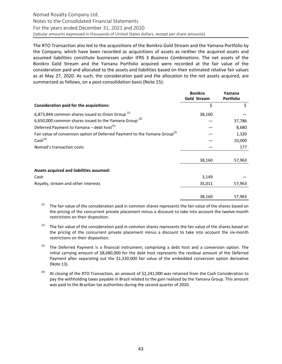<span id="page-42-0"></span>The RTO Transaction also led to the acquisitions of the Bonikro Gold Stream and the Yamana Portfolio by the Company, which have been recorded as acquisitions of assets as neither the acquired assets and assumed liabilities constitute businesses under IFRS 3 *Business Combinations*. The net assets of the Bonikro Gold Stream and the Yamana Portfolio acquired were recorded at the fair value of the consideration paid and allocated to the assets and liabilities based on their estimated relative fair values as at May 27, 2020. As such, the consideration paid and the allocation to the net assets acquired, are summarized as follows, on a post-consolidation basis (Note 15):

|                                                                                        | <b>Bonikro</b><br>Gold Stream | Yamana<br><b>Portfolio</b> |
|----------------------------------------------------------------------------------------|-------------------------------|----------------------------|
| Consideration paid for the acquisitions:                                               | \$                            | \$                         |
| 6,873,844 common shares issued to Orion Group <sup>(1)</sup>                           | 38,160                        |                            |
| 6,650,000 common shares issued to the Yamana Group <sup>(2)</sup>                      |                               | 37,786                     |
| Deferred Payment to Yamana - debt host <sup>(3)</sup>                                  |                               | 8,680                      |
| Fair value of conversion option of Deferred Payment to the Yamana Group <sup>(3)</sup> |                               | 1,320                      |
| Cash <sup>(4)</sup>                                                                    |                               | 10,000                     |
| Nomad's transaction costs                                                              |                               | 177                        |
|                                                                                        | 38,160                        | 57,963                     |
| Assets acquired and liabilities assumed:                                               |                               |                            |
| Cash                                                                                   | 3,149                         |                            |
| Royalty, stream and other interests                                                    | 35,011                        | 57,963                     |
|                                                                                        | 38,160                        | 57,963                     |

The fair value of the consideration paid in common shares represents the fair value of the shares based on the pricing of the concurrent private placement minus a discount to take into account the twelve-month restrictions on their disposition.

- $(2)$  The fair value of the consideration paid in common shares represents the fair value of the shares based on the pricing of the concurrent private placement minus a discount to take into account the six-month restrictions on their disposition.
- $^{(3)}$  The Deferred Payment is a financial instrument, comprising a debt host and a conversion option. The initial carrying amount of \$8,680,000 for the debt host represents the residual amount of the Deferred Payment after separating out the \$1,320,000 fair value of the embedded conversion option derivative (Note 13).
- $(4)$  At closing of the RTO Transaction, an amount of \$2,241,000 was retained from the Cash Consideration to pay the withholding taxes payable in Brazil related to the gain realized by the Yamana Group. This amount was paid to the Brazilian tax authorities during the second quarter of 2020.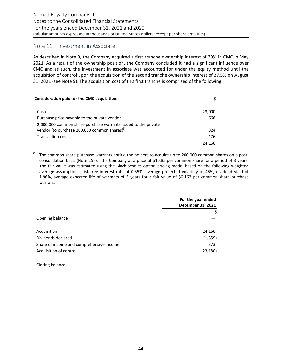# <span id="page-43-0"></span>Note 11 – Investment in Associate

As described in Note 9, the Company acquired a first tranche ownership interest of 30% in CMC in May 2021. As a result of the ownership position, the Company concluded it had a significant influence over CMC and as such, the investment in associate was accounted for under the equity method until the acquisition of control upon the acquisition of the second tranche ownership interest of 37.5% on August 31, 2021 (see Note 9). The acquisition cost of this first tranche is comprised of the following:

| <b>Consideration paid for the CMC acquisition:</b>                                                                 | \$.    |
|--------------------------------------------------------------------------------------------------------------------|--------|
| Cash                                                                                                               | 23,000 |
| Purchase price payable to the private vendor                                                                       | 666    |
| 2,000,000 common share purchase warrants issued to the private<br>vendor (to purchase 200,000 common shares) $(1)$ | 324    |
| <b>Transaction costs</b>                                                                                           | 176    |
|                                                                                                                    | 24.166 |

 $<sup>(1)</sup>$  The common share purchase warrants entitle the holders to acquire up to 200,000 common shares on a post-</sup> consolidation basis (Note 15) of the Company at a price of \$10.85 per common share for a period of 3 years. The fair value was estimated using the Black-Scholes option pricing model based on the following weighted average assumptions: risk-free interest rate of 0.35%, average projected volatility of 45%, dividend yield of 1.96%, average expected life of warrants of 3 years for a fair value of \$0.162 per common share purchase warrant. 

|                                          | For the year ended<br>December 31, 2021 |
|------------------------------------------|-----------------------------------------|
|                                          | \$                                      |
| Opening balance                          |                                         |
| Acquisition                              | 24,166                                  |
| Dividends declared                       | (1, 359)                                |
| Share of income and comprehensive income | 373                                     |
| Acquisition of control                   | (23, 180)                               |
| Closing balance                          |                                         |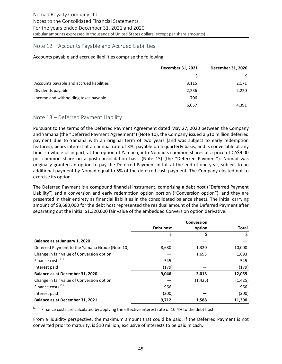# <span id="page-44-0"></span>Note 12 – Accounts Payable and Accrued Liabilities

#### Accounts payable and accrued liabilities comprise the following:

|                                          | December 31, 2021 | December 31, 2020 |
|------------------------------------------|-------------------|-------------------|
|                                          |                   |                   |
| Accounts payable and accrued liabilities | 3,115             | 2,171             |
| Dividends payable                        | 2,236             | 2,220             |
| Income and withholding taxes payable     | 706               |                   |
|                                          | 6,057             | 4,391             |

# Note 13 – Deferred Payment Liability

Pursuant to the terms of the Deferred Payment Agreement dated May 27, 2020 between the Company and Yamana (the "Deferred Payment Agreement") (Note 10), the Company issued a \$10 million deferred payment due to Yamana with an original term of two years (and was subject to early redemption features), bears interest at an annual rate of 3%, payable on a quarterly basis, and is convertible at any time, in whole or in part, at the option of Yamana, into Nomad's common shares at a price of CA\$9.00 percommon share on a post-consolidation basis (Note 15) (the "Deferred Payment"). Nomad was originally granted an option to pay the Deferred Payment in full at the end of one year, subject to an additional payment by Nomad equal to 5% of the deferred cash payment. The Company elected not to exercise its option.

The Deferred Payment is a compound financial instrument, comprising a debt host ("Deferred Payment Liability") and a conversion and early redemption option portion ("Conversion option"), and they are presented in their entirety as financial liabilities in the consolidated balance sheets. The initial carrying amount of \$8,680,000 for the debt host represented the residual amount of the Deferred Payment after separating out the initial \$1,320,000 fair value of the embedded Conversion option derivative.

|                                                | Debt host | option   | <b>Total</b> |
|------------------------------------------------|-----------|----------|--------------|
|                                                | \$        | \$       | \$           |
| Balance as at January 1, 2020                  |           |          |              |
| Deferred Payment to the Yamana Group (Note 10) | 8,680     | 1,320    | 10,000       |
| Change in fair value of Conversion option      |           | 1,693    | 1,693        |
| Finance costs <sup>(1)</sup>                   | 545       |          | 545          |
| Interest paid                                  | (179)     |          | (179)        |
| Balance as at December 31, 2020                | 9,046     | 3,013    | 12,059       |
| Change in fair value of Conversion option      |           | (1, 425) | (1, 425)     |
| Finance costs <sup>(1)</sup>                   | 966       |          | 966          |
| Interest paid                                  | (300)     |          | (300)        |
| Balance as at December 31, 2021                | 9,712     | 1,588    | 11,300       |

 $(1)$  Finance costs are calculated by applying the effective interest rate of 10.4% to the debt host.

From a liquidity perspective, the maximum amount that could be paid, if the Deferred Payment is not converted prior to maturity, is \$10 million, exclusive of interests to be paid in cash.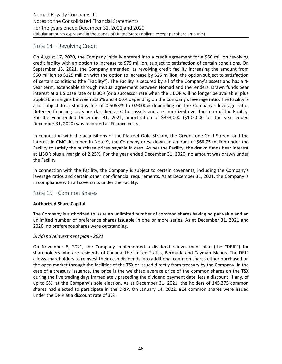# <span id="page-45-0"></span>Note 14 – Revolving Credit

On August 17, 2020, the Company initially entered into a credit agreement for a \$50 million revolving credit facility with an option to increase to \$75 million, subject to satisfaction of certain conditions. On September 13, 2021, the Company amended its revolving credit facility increasing the amount from \$50 million to \$125 million with the option to increase by \$25 million, the option subject to satisfaction of certain conditions (the "Facility"). The Facility is secured by all of the Company's assets and has a 4year term, extendable through mutual agreement between Nomad and the lenders. Drawn funds bear interest at a US base rate or LIBOR (or a successor rate when the LIBOR will no longer be available) plus applicable margins between 2.25% and 4.00% depending on the Company's leverage ratio. The Facility is also subject to a standby fee of 0.5063% to 0.9000% depending on the Company's leverage ratio. Deferred financing costs are classified as Other assets and are amortized over the term of the Facility. For the year ended December 31, 2021, amortization of \$353,000 (\$105,000 for the year ended December 31, 2020) was recorded as Finance costs.

In connection with the acquisitions of the Platreef Gold Stream, the Greenstone Gold Stream and the interest in CMC described in Note 9, the Company drew down an amount of \$68.75 million under the Facility to satisfy the purchase prices payable in cash. As per the Facility, the drawn funds bear interest at LIBOR plus a margin of 2.25%. For the year ended December 31, 2020, no amount was drawn under the Facility.

In connection with the Facility, the Company is subject to certain covenants, including the Company's leverage ratios and certain other non-financial requirements. As at December 31, 2021, the Company is in compliance with all covenants under the Facility.

# Note 15 – Common Shares

#### **Authorized Share Capital**

The Company is authorized to issue an unlimited number of common shares having no par value and an unlimited number of preference shares issuable in one or more series. As at December 31, 2021 and 2020, no preference shares were outstanding.

#### *Dividend reinvestment plan - 2021*

On November 8, 2021, the Company implemented a dividend reinvestment plan (the "DRIP") for shareholders who are residents of Canada, the United States, Bermuda and Cayman Islands. The DRIP allows shareholders to reinvest their cash dividends into additional common shares either purchased on the open market through the facilities of the TSX or issued directly from treasury by the Company. In the case of a treasury issuance, the price is the weighted average price of the common shares on the TSX during the five trading days immediately preceding the dividend payment date, less a discount, if any, of up to 5%, at the Company's sole election. As at December 31, 2021, the holders of 145,275 common shares had elected to participate in the DRIP. On January 14, 2022, 814 common shares were issued under the DRIP at a discount rate of 3%.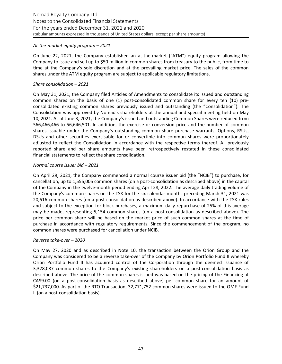#### At-the-market equity program - 2021

On June 22, 2021, the Company established an at-the-market ("ATM") equity program allowing the Company to issue and sell up to \$50 million in common shares from treasury to the public, from time to time at the Company's sole discretion and at the prevailing market price. The sales of the common shares under the ATM equity program are subject to applicable regulatory limitations.

#### Share consolidation – 2021

On May 31, 2021, the Company filed Articles of Amendments to consolidate its issued and outstanding common shares on the basis of one (1) post-consolidated common share for every ten (10) preconsolidated existing common shares previously issued and outstanding (the "Consolidation"). The Consolidation was approved by Nomad's shareholders at the annual and special meeting held on May 10, 2021. As at June 3, 2021, the Company's issued and outstanding Common Shares were reduced from 566,466,466 to 56,646,501. In addition, the exercise or conversion price and the number of common shares issuable under the Company's outstanding common share purchase warrants, Options, RSUs, DSUs and other securities exercisable for or convertible into common shares were proportionately adjusted to reflect the Consolidation in accordance with the respective terms thereof. All previously reported share and per share amounts have been retrospectively restated in these consolidated financial statements to reflect the share consolidation.

#### *Normal course issuer bid – 2021*

On April 29, 2021, the Company commenced a normal course issuer bid (the "NCIB") to purchase, for cancellation, up to 1,555,005 common shares (on a post-consolidation as described above) in the capital of the Company in the twelve-month period ending April 28, 2022. The average daily trading volume of the Company's common shares on the TSX for the six calendar months preceding March 31, 2021 was 20,616 common shares (on a post-consolidation as described above). In accordance with the TSX rules and subject to the exception for block purchases, a maximum daily repurchase of 25% of this average may be made, representing 5,154 common shares (on a post-consolidation as described above). The price per common share will be based on the market price of such common shares at the time of purchase in accordance with regulatory requirements. Since the commencement of the program, no common shares were purchased for cancellation under NCIB.

#### *Reverse take-over – 2020*

On May 27, 2020 and as described in Note 10, the transaction between the Orion Group and the Company was considered to be a reverse take-over of the Company by Orion Portfolio Fund II whereby Orion Portfolio Fund II has acquired control of the Corporation through the deemed issuance of 3,328,087 common shares to the Company's existing shareholders on a post-consolidation basis as described above. The price of the common shares issued was based on the pricing of the Financing at CA\$9.00 (on a post-consolidation basis as described above) per common share for an amount of \$21,737,000. As part of the RTO Transaction, 32,771,752 common shares were issued to the OMF Fund II (on a post-consolidation basis).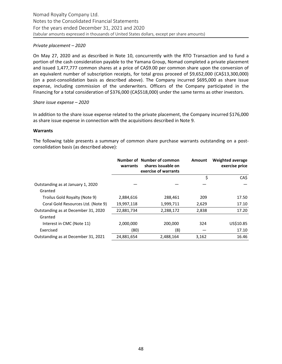#### *Private placement* – 2020

On May 27, 2020 and as described in Note 10, concurrently with the RTO Transaction and to fund a portion of the cash consideration payable to the Yamana Group, Nomad completed a private placement and issued 1,477,777 common shares at a price of CA\$9.00 per common share upon the conversion of an equivalent number of subscription receipts, for total gross proceed of \$9,652,000 (CA\$13,300,000) (on a post-consolidation basis as described above). The Company incurred \$695,000 as share issue expense, including commission of the underwriters. Officers of the Company participated in the Financing for a total consideration of \$376,000 (CA\$518,000) under the same terms as other investors.

#### Share *issue* expense – 2020

In addition to the share issue expense related to the private placement, the Company incurred \$176,000 as share issue expense in connection with the acquisitions described in Note 9.

#### **Warrants**

The following table presents a summary of common share purchase warrants outstanding on a postconsolidation basis (as described above):

|                                     | warrants   | Number of Number of common<br>shares issuable on<br>exercise of warrants | <b>Amount</b> | <b>Weighted average</b><br>exercise price |
|-------------------------------------|------------|--------------------------------------------------------------------------|---------------|-------------------------------------------|
|                                     |            |                                                                          | \$            | CA\$                                      |
| Outstanding as at January 1, 2020   |            |                                                                          |               |                                           |
| Granted                             |            |                                                                          |               |                                           |
| Troilus Gold Royalty (Note 9)       | 2,884,616  | 288,461                                                                  | 209           | 17.50                                     |
| Coral Gold Resources Ltd. (Note 9)  | 19,997,118 | 1,999,711                                                                | 2,629         | 17.10                                     |
| Outstanding as at December 31, 2020 | 22,881,734 | 2,288,172                                                                | 2,838         | 17.20                                     |
| Granted                             |            |                                                                          |               |                                           |
| Interest in CMC (Note 11)           | 2,000,000  | 200.000                                                                  | 324           | US\$10.85                                 |
| Exercised                           | (80)       | (8)                                                                      |               | 17.10                                     |
| Outstanding as at December 31, 2021 | 24,881,654 | 2.488.164                                                                | 3,162         | 16.46                                     |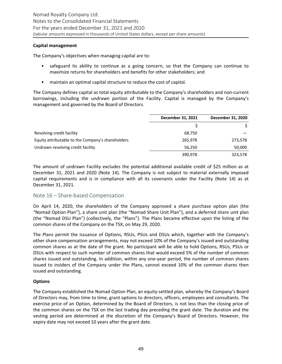#### <span id="page-48-0"></span>**Capital management**

The Company's objectives when managing capital are to:

- safeguard its ability to continue as a going concern, so that the Company can continue to maximize returns for shareholders and benefits for other stakeholders; and
- maintain an optimal capital structure to reduce the cost of capital.

The Company defines capital as total equity attributable to the Company's shareholders and non-current borrowings, including the undrawn portion of the Facility. Capital is managed by the Company's management and governed by the Board of Directors.

|                                                   | December 31, 2021 | December 31, 2020 |
|---------------------------------------------------|-------------------|-------------------|
|                                                   |                   |                   |
| Revolving credit facility                         | 68,750            |                   |
| Equity attributable to the Company's shareholders | 265,978           | 273,578           |
| Undrawn revolving credit facility                 | 56.250            | 50,000            |
|                                                   | 390,978           | 323,578           |

The amount of undrawn Facility excludes the potential additional available credit of \$25 million as at December 31, 2021 and 2020 (Note 14). The Company is not subject to material externally imposed capital requirements and is in compliance with all its covenants under the Facility (Note 14) as at December 31, 2021.

# Note 16 – Share-based Compensation

On April 14, 2020, the shareholders of the Company approved a share purchase option plan (the "Nomad Option Plan"), a share unit plan (the "Nomad Share Unit Plan"), and a deferred share unit plan (the "Nomad DSU Plan") (collectively, the "Plans"). The Plans became effective upon the listing of the common shares of the Company on the TSX, on May 29, 2020.

The Plans permit the issuance of Options, RSUs, PSUs and DSUs which, together with the Company's other share compensation arrangements, may not exceed 10% of the Company's issued and outstanding common shares as at the date of the grant. No participant will be able to hold Options, RSUs, PSUs or DSUs with respect to such number of common shares that would exceed 5% of the number of common shares issued and outstanding. In addition, within any one-year period, the number of common shares issued to insiders of the Company under the Plans, cannot exceed 10% of the common shares then issued and outstanding.

#### **Options**

The Company established the Nomad Option Plan, an equity-settled plan, whereby the Company's Board of Directors may, from time to time, grant options to directors, officers, employees and consultants. The exercise price of an Option, determined by the Board of Directors, is not less than the closing price of the common shares on the TSX on the last trading day preceding the grant date. The duration and the vesting period are determined at the discretion of the Company's Board of Directors. However, the expiry date may not exceed 10 years after the grant date.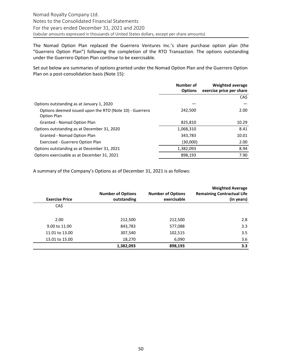The Nomad Option Plan replaced the Guerrero Ventures Inc.'s share purchase option plan (the "Guerrero Option Plan") following the completion of the RTO Transaction. The options outstanding under the Guerrero Option Plan continue to be exercisable.

Set out below are summaries of options granted under the Nomad Option Plan and the Guerrero Option Plan on a post-consolidation basis (Note 15):

| Number of<br><b>Options</b> | <b>Weighted average</b><br>exercise price per share |
|-----------------------------|-----------------------------------------------------|
|                             | CA\$                                                |
|                             |                                                     |
| 242,500                     | 2.00                                                |
| 825,810                     | 10.29                                               |
| 1,068,310                   | 8.41                                                |
| 343,783                     | 10.01                                               |
| (30,000)                    | 2.00                                                |
| 1,382,093                   | 8.94                                                |
| 898,193                     | 7.90                                                |
|                             |                                                     |

A summary of the Company's Options as of December 31, 2021 is as follows:

| <b>Exercise Price</b> | <b>Number of Options</b><br>outstanding | <b>Number of Options</b><br>exercisable | <b>Weighted Average</b><br><b>Remaining Contractual Life</b><br>(in years) |
|-----------------------|-----------------------------------------|-----------------------------------------|----------------------------------------------------------------------------|
| CA\$                  |                                         |                                         |                                                                            |
| 2.00                  | 212,500                                 | 212,500                                 | 2.8                                                                        |
| 9.00 to 11.00         | 843,783                                 | 577,088                                 | 3.3                                                                        |
| 11.01 to 13.00        | 307,540                                 | 102,515                                 | 3.5                                                                        |
| 13.01 to 15.00        | 18,270                                  | 6,090                                   | 3.6                                                                        |
|                       | 1,382,093                               | 898,193                                 | 3.3                                                                        |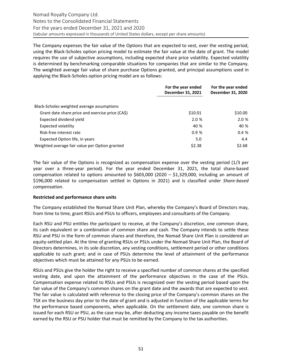The Company expenses the fair value of the Options that are expected to vest, over the vesting period, using the Black-Scholes option pricing model to estimate the fair value at the date of grant. The model requires the use of subjective assumptions, including expected share price volatility. Expected volatility is determined by benchmarking comparable situations for companies that are similar to the Company. The weighted average fair value of share purchase Options granted, and principal assumptions used in applying the Black-Scholes option pricing model are as follows:

|                                                  | For the year ended<br>December 31, 2021 | For the year ended<br>December 31, 2020 |
|--------------------------------------------------|-----------------------------------------|-----------------------------------------|
| Black-Scholes weighted average assumptions       |                                         |                                         |
| Grant date share price and exercise price (CA\$) | \$10.01                                 | \$10.00                                 |
| Expected dividend yield                          | 2.0%                                    | 2.0 %                                   |
| Expected volatility                              | 40 %                                    | 40 %                                    |
| Risk-free interest rate                          | 0.9%                                    | 0.4%                                    |
| Expected Option life, in years                   | 5.0                                     | 4.4                                     |
| Weighted average fair value per Option granted   | \$2.38                                  | \$2.68                                  |

The fair value of the Options is recognized as compensation expense over the vesting period  $(1/3$  per year over a three-year period). For the year ended December 31, 2021, the total share-based compensation related to options amounted to  $$603,000$  (2020 – \$1,329,000, including an amount of \$196,000 related to compensation settled in Options in 2021) and is classified under Share-based *compensation*.

#### **Restricted and performance share units**

The Company established the Nomad Share Unit Plan, whereby the Company's Board of Directors may, from time to time, grant RSUs and PSUs to officers, employees and consultants of the Company.

Each RSU and PSU entitles the participant to receive, at the Company's discretion, one common share, its cash equivalent or a combination of common share and cash. The Company intends to settle these RSU and PSU in the form of common shares and therefore, the Nomad Share Unit Plan is considered an equity-settled plan. At the time of granting RSUs or PSUs under the Nomad Share Unit Plan, the Board of Directors determines, in its sole discretion, any vesting conditions, settlement period or other conditions applicable to such grant; and in case of PSUs determine the level of attainment of the performance objectives which must be attained for any PSUs to be earned.

RSUs and PSUs give the holder the right to receive a specified number of common shares at the specified vesting date, and upon the attainment of the performance objectives in the case of the PSUs. Compensation expense related to RSUs and PSUs is recognized over the vesting period based upon the fair value of the Company's common shares on the grant date and the awards that are expected to vest. The fair value is calculated with reference to the closing price of the Company's common shares on the TSX on the business day prior to the date of grant and is adjusted in function of the applicable terms for the performance based components, when applicable. On the settlement date, one common share is issued for each RSU or PSU, as the case may be, after deducting any income taxes payable on the benefit earned by the RSU or PSU holder that must be remitted by the Company to the tax authorities.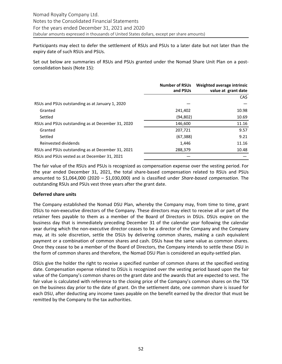Participants may elect to defer the settlement of RSUs and PSUs to a later date but not later than the expiry date of such RSUs and PSUs.

Set out below are summaries of RSUs and PSUs granted under the Nomad Share Unit Plan on a postconsolidation basis (Note 15):

|                                                   | <b>Number of RSUs</b><br>and PSUs | Weighted average intrinsic<br>value at grant date |
|---------------------------------------------------|-----------------------------------|---------------------------------------------------|
|                                                   |                                   | CA\$                                              |
| RSUs and PSUs outstanding as at January 1, 2020   |                                   |                                                   |
| Granted                                           | 241,402                           | 10.98                                             |
| Settled                                           | (94, 802)                         | 10.69                                             |
| RSUs and PSUs outstanding as at December 31, 2020 | 146,600                           | 11.16                                             |
| Granted                                           | 207,721                           | 9.57                                              |
| Settled                                           | (67, 388)                         | 9.21                                              |
| Reinvested dividends                              | 1,446                             | 11.16                                             |
| RSUs and PSUs outstanding as at December 31, 2021 | 288,379                           | 10.48                                             |
| RSUs and PSUs vested as at December 31, 2021      |                                   |                                                   |

The fair value of the RSUs and PSUs is recognized as compensation expense over the vesting period. For the year ended December 31, 2021, the total share-based compensation related to RSUs and PSUs amounted to  $$1,064,000$  ( $2020 - $1,030,000$ ) and is classified under *Share-based compensation*. The outstanding RSUs and PSUs vest three years after the grant date.

#### **Deferred share units**

The Company established the Nomad DSU Plan, whereby the Company may, from time to time, grant DSUs to non-executive directors of the Company. These directors may elect to receive all or part of the retainer fees payable to them as a member of the Board of Directors in DSUs. DSUs expire on the business day that is immediately preceding December 31 of the calendar year following the calendar year during which the non-executive director ceases to be a director of the Company and the Company may, at its sole discretion, settle the DSUs by delivering common shares, making a cash equivalent payment or a combination of common shares and cash. DSUs have the same value as common shares. Once they cease to be a member of the Board of Directors, the Company intends to settle these DSU in the form of common shares and therefore, the Nomad DSU Plan is considered an equity-settled plan.

DSUs give the holder the right to receive a specified number of common shares at the specified vesting date. Compensation expense related to DSUs is recognized over the vesting period based upon the fair value of the Company's common shares on the grant date and the awards that are expected to vest. The fair value is calculated with reference to the closing price of the Company's common shares on the TSX on the business day prior to the date of grant. On the settlement date, one common share is issued for each DSU, after deducting any income taxes payable on the benefit earned by the director that must be remitted by the Company to the tax authorities.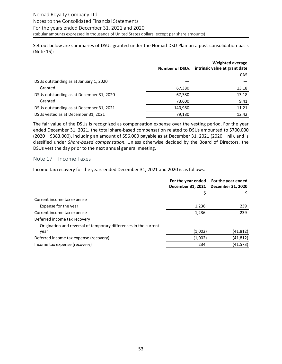<span id="page-52-0"></span>Set out below are summaries of DSUs granted under the Nomad DSU Plan on a post-consolidation basis (Note 15):

|                                          | <b>Number of DSUs</b> | Weighted average<br>intrinsic value at grant date |
|------------------------------------------|-----------------------|---------------------------------------------------|
|                                          |                       | CA\$                                              |
| DSUs outstanding as at January 1, 2020   |                       |                                                   |
| Granted                                  | 67,380                | 13.18                                             |
| DSUs outstanding as at December 31, 2020 | 67,380                | 13.18                                             |
| Granted                                  | 73,600                | 9.41                                              |
| DSUs outstanding as at December 31, 2021 | 140,980               | 11.21                                             |
| DSUs vested as at December 31, 2021      | 79,180                | 12.42                                             |

The fair value of the DSUs is recognized as compensation expense over the vesting period. For the year ended December 31, 2021, the total share-based compensation related to DSUs amounted to \$700,000  $(2020 - $383,000)$ , including an amount of \$56,000 payable as at December 31, 2021  $(2020 - nil)$ , and is classified under Share-based compensation. Unless otherwise decided by the Board of Directors, the DSUs vest the day prior to the next annual general meeting.

#### Note 17 – Income Taxes

Income tax recovery for the years ended December 31, 2021 and 2020 is as follows:

|                                                                  | For the year ended<br>December 31, 2021 | For the year ended<br>December 31, 2020 |
|------------------------------------------------------------------|-----------------------------------------|-----------------------------------------|
|                                                                  |                                         |                                         |
| Current income tax expense                                       |                                         |                                         |
| Expense for the year                                             | 1,236                                   | 239                                     |
| Current income tax expense                                       | 1,236                                   | 239                                     |
| Deferred income tax recovery                                     |                                         |                                         |
| Origination and reversal of temporary differences in the current |                                         |                                         |
| year                                                             | (1,002)                                 | (41, 812)                               |
| Deferred income tax expense (recovery)                           | (1,002)                                 | (41, 812)                               |
| Income tax expense (recovery)                                    | 234                                     | (41, 573)                               |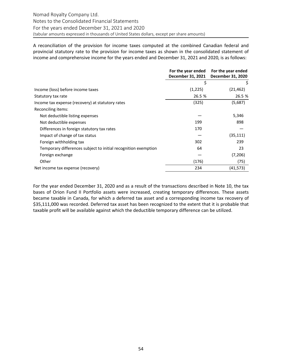A reconciliation of the provision for income taxes computed at the combined Canadian federal and provincial statutory rate to the provision for income taxes as shown in the consolidated statement of income and comprehensive income for the years ended and December 31, 2021 and 2020, is as follows:

|                                                                | For the year ended<br>December 31, 2021 | For the year ended<br>December 31, 2020 |
|----------------------------------------------------------------|-----------------------------------------|-----------------------------------------|
|                                                                | \$                                      | \$                                      |
| Income (loss) before income taxes                              | (1,225)                                 | (21, 462)                               |
| Statutory tax rate                                             | 26.5 %                                  | 26.5 %                                  |
| Income tax expense (recovery) at statutory rates               | (325)                                   | (5,687)                                 |
| Reconciling items:                                             |                                         |                                         |
| Not deductible listing expenses                                |                                         | 5,346                                   |
| Not deductible expenses                                        | 199                                     | 898                                     |
| Differences in foreign statutory tax rates                     | 170                                     |                                         |
| Impact of change of tax status                                 |                                         | (35, 111)                               |
| Foreign withholding tax                                        | 302                                     | 239                                     |
| Temporary differences subject to initial recognition exemption | 64                                      | 23                                      |
| Foreign exchange                                               |                                         | (7,206)                                 |
| Other                                                          | (176)                                   | (75)                                    |
| Net income tax expense (recovery)                              | 234                                     | (41, 573)                               |

For the year ended December 31, 2020 and as a result of the transactions described in Note 10, the tax bases of Orion Fund II Portfolio assets were increased, creating temporary differences. These assets became taxable in Canada, for which a deferred tax asset and a corresponding income tax recovery of \$35,111,000 was recorded. Deferred tax asset has been recognized to the extent that it is probable that taxable profit will be available against which the deductible temporary difference can be utilized.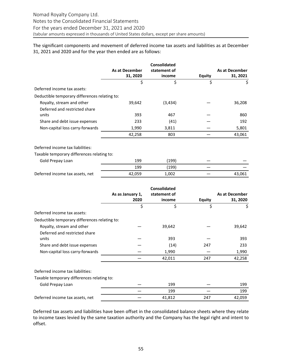The significant components and movement of deferred income tax assets and liabilities as at December 31, 2021 and 2020 and for the year then ended are as follows:

|                                               |                | <b>Consolidated</b> |               |                |
|-----------------------------------------------|----------------|---------------------|---------------|----------------|
|                                               | As at December | statement of        |               | As at December |
|                                               | 31, 2020       | income              | <b>Equity</b> | 31, 2021       |
|                                               | \$             | \$                  | \$            | \$             |
| Deferred income tax assets:                   |                |                     |               |                |
| Deductible temporary differences relating to: |                |                     |               |                |
| Royalty, stream and other                     | 39,642         | (3, 434)            |               | 36,208         |
| Deferred and restricted share                 |                |                     |               |                |
| units                                         | 393            | 467                 |               | 860            |
| Share and debt issue expenses                 | 233            | (41)                |               | 192            |
| Non-capital loss carry-forwards               | 1,990          | 3,811               |               | 5,801          |
|                                               | 42,258         | 803                 |               | 43,061         |
| Deferred income tax liabilities:              |                |                     |               |                |
| Taxable temporary differences relating to:    |                |                     |               |                |
| Gold Prepay Loan                              | 199            | (199)               |               |                |
|                                               | 199            | (199)               |               |                |
| Deferred income tax assets, net               | 42,059         | 1,002               |               | 43,061         |

|                                               |                  | <b>Consolidated</b> |        |                |
|-----------------------------------------------|------------------|---------------------|--------|----------------|
|                                               | As as January 1, | statement of        |        | As at December |
|                                               | 2020             | income              | Equity | 31, 2020       |
|                                               | \$               | \$                  | \$     | \$             |
| Deferred income tax assets:                   |                  |                     |        |                |
| Deductible temporary differences relating to: |                  |                     |        |                |
| Royalty, stream and other                     |                  | 39,642              |        | 39,642         |
| Deferred and restricted share                 |                  |                     |        |                |
| units                                         |                  | 393                 |        | 393            |
| Share and debt issue expenses                 |                  | (14)                | 247    | 233            |
| Non-capital loss carry-forwards               |                  | 1,990               |        | 1,990          |
|                                               |                  | 42,011              | 247    | 42,258         |
| Deferred income tax liabilities:              |                  |                     |        |                |
| Taxable temporary differences relating to:    |                  |                     |        |                |
| Gold Prepay Loan                              |                  | 199                 |        | 199            |
|                                               |                  | 199                 |        | 199            |
| Deferred income tax assets, net               |                  | 41,812              | 247    | 42,059         |

Deferred tax assets and liabilities have been offset in the consolidated balance sheets where they relate to income taxes levied by the same taxation authority and the Company has the legal right and intent to offset.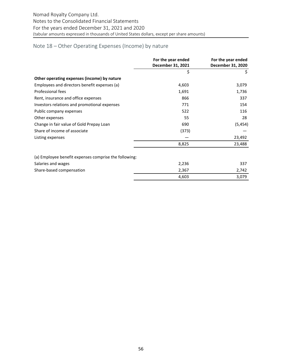# <span id="page-55-0"></span>Note 18 – Other Operating Expenses (Income) by nature

|                                                       | For the year ended<br>December 31, 2021 | For the year ended<br>December 31, 2020 |
|-------------------------------------------------------|-----------------------------------------|-----------------------------------------|
|                                                       | \$                                      | \$                                      |
| Other operating expenses (income) by nature           |                                         |                                         |
| Employees and directors benefit expenses (a)          | 4,603                                   | 3,079                                   |
| Professional fees                                     | 1,691                                   | 1,736                                   |
| Rent, insurance and office expenses                   | 866                                     | 337                                     |
| Investors relations and promotional expenses          | 771                                     | 154                                     |
| Public company expenses                               | 522                                     | 116                                     |
| Other expenses                                        | 55                                      | 28                                      |
| Change in fair value of Gold Prepay Loan              | 690                                     | (5, 454)                                |
| Share of income of associate                          | (373)                                   |                                         |
| Listing expenses                                      |                                         | 23,492                                  |
|                                                       | 8,825                                   | 23,488                                  |
| (a) Employee benefit expenses comprise the following: |                                         |                                         |
| Salaries and wages                                    | 2,236                                   | 337                                     |
| Share-based compensation                              | 2,367                                   | 2,742                                   |
|                                                       | 4,603                                   | 3,079                                   |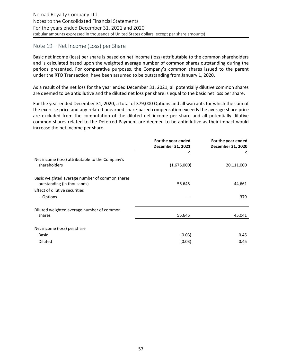# <span id="page-56-0"></span>Note 19 – Net Income (Loss) per Share

Basic net income (loss) per share is based on net income (loss) attributable to the common shareholders and is calculated based upon the weighted average number of common shares outstanding during the periods presented. For comparative purposes, the Company's common shares issued to the parent under the RTO Transaction, have been assumed to be outstanding from January 1, 2020.

As a result of the net loss for the year ended December 31, 2021, all potentially dilutive common shares are deemed to be antidilutive and the diluted net loss per share is equal to the basic net loss per share.

For the year ended December 31, 2020, a total of 379,000 Options and all warrants for which the sum of the exercise price and any related unearned share-based compensation exceeds the average share price are excluded from the computation of the diluted net income per share and all potentially dilutive common shares related to the Deferred Payment are deemed to be antidilutive as their impact would increase the net income per share.

|                                                 | For the year ended<br>December 31, 2021 | For the year ended<br>December 31, 2020 |
|-------------------------------------------------|-----------------------------------------|-----------------------------------------|
|                                                 | \$                                      | \$                                      |
| Net income (loss) attributable to the Company's |                                         |                                         |
| shareholders                                    | (1,676,000)                             | 20,111,000                              |
| Basic weighted average number of common shares  |                                         |                                         |
| outstanding (in thousands)                      | 56,645                                  | 44,661                                  |
| Effect of dilutive securities                   |                                         |                                         |
| - Options                                       |                                         | 379                                     |
| Diluted weighted average number of common       |                                         |                                         |
| shares                                          | 56,645                                  | 45,041                                  |
| Net income (loss) per share                     |                                         |                                         |
| <b>Basic</b>                                    | (0.03)                                  | 0.45                                    |
| <b>Diluted</b>                                  | (0.03)                                  | 0.45                                    |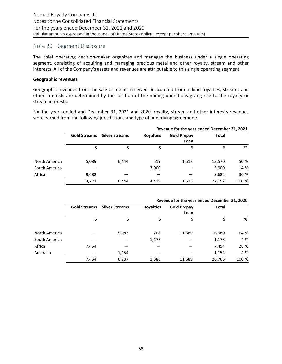## <span id="page-57-0"></span>Note 20 – Segment Disclosure

The chief operating decision-maker organizes and manages the business under a single operating segment, consisting of acquiring and managing precious metal and other royalty, stream and other interests. All of the Company's assets and revenues are attributable to this single operating segment.

#### **Geographic revenues**

Geographic revenues from the sale of metals received or acquired from in-kind royalties, streams and other interests are determined by the location of the mining operations giving rise to the royalty or stream interests.

For the years ended and December 31, 2021 and 2020, royalty, stream and other interests revenues were earned from the following jurisdictions and type of underlying agreement:

|               |                     |                       |                  |                    | Revenue for the year ended December 31, 2021 |       |
|---------------|---------------------|-----------------------|------------------|--------------------|----------------------------------------------|-------|
|               | <b>Gold Streams</b> | <b>Silver Streams</b> | <b>Royalties</b> | <b>Gold Prepay</b> | <b>Total</b>                                 |       |
|               |                     |                       |                  | Loan               |                                              |       |
|               |                     |                       |                  |                    |                                              | %     |
| North America | 5,089               | 6,444                 | 519              | 1,518              | 13,570                                       | 50 %  |
| South America |                     |                       | 3,900            |                    | 3,900                                        | 14 %  |
| Africa        | 9,682               |                       |                  |                    | 9,682                                        | 36 %  |
|               | 14,771              | 6,444                 | 4,419            | 1,518              | 27,152                                       | 100 % |

|               |                     |                       |                  | Revenue for the year ended December 31, 2020 |        |       |
|---------------|---------------------|-----------------------|------------------|----------------------------------------------|--------|-------|
|               | <b>Gold Streams</b> | <b>Silver Streams</b> | <b>Royalties</b> | <b>Gold Prepay</b>                           | Total  |       |
|               |                     |                       |                  | Loan                                         |        |       |
|               |                     |                       |                  |                                              |        | %     |
| North America |                     | 5,083                 | 208              | 11,689                                       | 16,980 | 64 %  |
| South America |                     |                       | 1,178            |                                              | 1,178  | 4 %   |
| Africa        | 7,454               |                       |                  |                                              | 7,454  | 28 %  |
| Australia     |                     | 1,154                 |                  |                                              | 1,154  | 4 %   |
|               | 7,454               | 6,237                 | 1,386            | 11,689                                       | 26,766 | 100 % |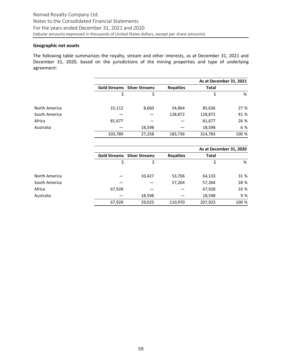#### **Geographic net assets**

The following table summarizes the royalty, stream and other interests, as at December 31, 2021 and December 31, 2020, based on the jurisdictions of the mining properties and type of underlying agreement:

|               |                     |                       |                  | As at December 31, 2021 |       |
|---------------|---------------------|-----------------------|------------------|-------------------------|-------|
|               | <b>Gold Streams</b> | <b>Silver Streams</b> | <b>Royalties</b> | <b>Total</b>            |       |
|               | \$                  | \$                    |                  | \$                      | %     |
| North America | 22,112              | 8,660                 | 54,864           | 85,636                  | 27 %  |
| South America |                     |                       | 128,872          | 128,872                 | 41 %  |
| Africa        | 81,677              |                       |                  | 81,677                  | 26 %  |
| Australia     |                     | 18,598                |                  | 18,598                  | 6 %   |
|               | 103,789             | 27,258                | 183,736          | 314,783                 | 100 % |
|               |                     |                       |                  |                         |       |

|               |        |                                    |                  | As at December 31, 2020 |       |
|---------------|--------|------------------------------------|------------------|-------------------------|-------|
|               |        | <b>Gold Streams</b> Silver Streams | <b>Royalties</b> | Total                   |       |
|               |        |                                    |                  |                         | %     |
| North America |        | 10,427                             | 53,706           | 64,133                  | 31 %  |
| South America |        |                                    | 57,264           | 57,264                  | 28 %  |
| Africa        | 67,928 |                                    |                  | 67,928                  | 33 %  |
| Australia     |        | 18,598                             |                  | 18,598                  | 9 %   |
|               | 67,928 | 29,025                             | 110,970          | 207,923                 | 100 % |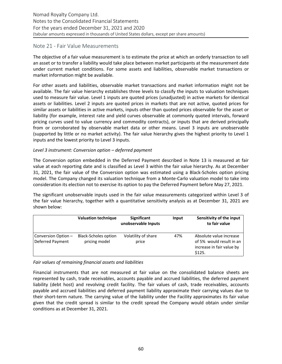# Note 21 - Fair Value Measurements

The objective of a fair value measurement is to estimate the price at which an orderly transaction to sell an asset or to transfer a liability would take place between market participants at the measurement date under current market conditions. For some assets and liabilities, observable market transactions or market information might be available.

For other assets and liabilities, observable market transactions and market information might not be available. The fair value hierarchy establishes three levels to classify the inputs to valuation techniques used to measure fair value. Level 1 inputs are quoted prices (unadjusted) in active markets for identical assets or liabilities. Level 2 inputs are quoted prices in markets that are not active, quoted prices for similar assets or liabilities in active markets, inputs other than quoted prices observable for the asset or liability (for example, interest rate and yield curves observable at commonly quoted intervals, forward pricing curves used to value currency and commodity contracts), or inputs that are derived principally from or corroborated by observable market data or other means. Level 3 inputs are unobservable (supported by little or no market activity). The fair value hierarchy gives the highest priority to Level 1 inputs and the lowest priority to Level 3 inputs.

#### Level 3 instrument: Conversion option – deferred payment

The Conversion option embedded in the Deferred Payment described in Note 13 is measured at fair value at each reporting date and is classified as Level 3 within the fair value hierarchy. As at December 31, 2021, the fair value of the Conversion option was estimated using a Black-Scholes option pricing model. The Company changed its valuation technique from a Monte-Carlo valuation model to take into consideration its election not to exercise its option to pay the Deferred Payment before May 27, 2021.

The significant unobservable inputs used in the fair value measurements categorized within Level 3 of the fair value hierarchy, together with a quantitative sensitivity analysis as at December 31, 2021 are shown below:

|                                         | <b>Valuation technique</b>                   | <b>Significant</b><br>unobservable Inputs | Input | Sensitivity of the input<br>to fair value                                                  |
|-----------------------------------------|----------------------------------------------|-------------------------------------------|-------|--------------------------------------------------------------------------------------------|
| Conversion Option -<br>Deferred Payment | <b>Black-Scholes option</b><br>pricing model | Volatility of share<br>price              | 47%   | Absolute value increase<br>of 5% would result in an<br>increase in fair value by<br>\$125. |

# Fair values of remaining financial assets and liabilities

Financial instruments that are not measured at fair value on the consolidated balance sheets are represented by cash, trade receivables, accounts payable and accrued liabilities, the deferred payment liability (debt host) and revolving credit facility. The fair values of cash, trade receivables, accounts payable and accrued liabilities and deferred payment liability approximate their carrying values due to their short-term nature. The carrying value of the liability under the Facility approximates its fair value given that the credit spread is similar to the credit spread the Company would obtain under similar conditions as at December 31, 2021.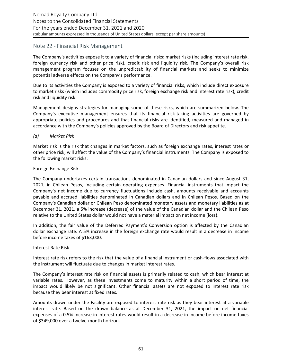# Note 22 - Financial Risk Management

The Company's activities expose it to a variety of financial risks: market risks (including interest rate risk, foreign currency risk and other price risk), credit risk and liquidity risk. The Company's overall risk management program focuses on the unpredictability of financial markets and seeks to minimize potential adverse effects on the Company's performance.

Due to its activities the Company is exposed to a variety of financial risks, which include direct exposure to market risks (which includes commodity price risk, foreign exchange risk and interest rate risk), credit risk and liquidity risk.

Management designs strategies for managing some of these risks, which are summarized below. The Company's executive management ensures that its financial risk-taking activities are governed by appropriate policies and procedures and that financial risks are identified, measured and managed in accordance with the Company's policies approved by the Board of Directors and risk appetite.

#### *(a) Market Risk*

Market risk is the risk that changes in market factors, such as foreign exchange rates, interest rates or other price risk, will affect the value of the Company's financial instruments. The Company is exposed to the following market risks:

#### Foreign Exchange Risk

The Company undertakes certain transactions denominated in Canadian dollars and since August 31, 2021, in Chilean Pesos, including certain operating expenses. Financial instruments that impact the Company's net income due to currency fluctuations include cash, amounts receivable and accounts payable and accrued liabilities denominated in Canadian dollars and in Chilean Pesos. Based on the Company's Canadian dollar or Chilean Peso denominated monetary assets and monetary liabilities as at December 31, 2021, a 5% increase (decrease) of the value of the Canadian dollar and the Chilean Peso relative to the United States dollar would not have a material impact on net income (loss).

In addition, the fair value of the Deferred Payment's Conversion option is affected by the Canadian dollar exchange rate. A 5% increase in the foreign exchange rate would result in a decrease in income before income taxes of \$163,000.

#### **Interest Rate Risk**

Interest rate risk refers to the risk that the value of a financial instrument or cash-flows associated with the instrument will fluctuate due to changes in market interest rates.

The Company's interest rate risk on financial assets is primarily related to cash, which bear interest at variable rates. However, as these investments come to maturity within a short period of time, the impact would likely be not significant. Other financial assets are not exposed to interest rate risk because they bear interest at fixed rates.

Amounts drawn under the Facility are exposed to interest rate risk as they bear interest at a variable interest rate. Based on the drawn balance as at December 31, 2021, the impact on net financial expenses of a 0.5% increase in interest rates would result in a decrease in income before income taxes of \$349,000 over a twelve-month horizon.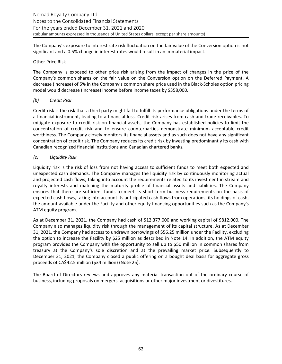The Company's exposure to interest rate risk fluctuation on the fair value of the Conversion option is not significant and a 0.5% change in interest rates would result in an immaterial impact.

#### **Other Price Risk**

The Company is exposed to other price risk arising from the impact of changes in the price of the Company's common shares on the fair value on the Conversion option on the Deferred Payment. A decrease (increase) of 5% in the Company's common share price used in the Black-Scholes option pricing model would decrease (increase) income before income taxes by \$358,000.

#### *(b) Credit Risk*

Credit risk is the risk that a third party might fail to fulfill its performance obligations under the terms of a financial instrument, leading to a financial loss. Credit risk arises from cash and trade receivables. To mitigate exposure to credit risk on financial assets, the Company has established policies to limit the concentration of credit risk and to ensure counterparties demonstrate minimum acceptable credit worthiness. The Company closely monitors its financial assets and as such does not have any significant concentration of credit risk. The Company reduces its credit risk by investing predominantly its cash with Canadian recognized financial institutions and Canadian chartered banks.

# *(c) Liquidity Risk*

Liquidity risk is the risk of loss from not having access to sufficient funds to meet both expected and unexpected cash demands. The Company manages the liquidity risk by continuously monitoring actual and projected cash flows, taking into account the requirements related to its investment in stream and royalty interests and matching the maturity profile of financial assets and liabilities. The Company ensures that there are sufficient funds to meet its short-term business requirements on the basis of expected cash flows, taking into account its anticipated cash flows from operations, its holdings of cash, the amount available under the Facility and other equity financing opportunities such as the Company's ATM equity program.

As at December 31, 2021, the Company had cash of \$12,377,000 and working capital of \$812,000. The Company also manages liquidity risk through the management of its capital structure. As at December 31, 2021, the Company had access to undrawn borrowings of \$56.25 million under the Facility, excluding the option to increase the Facility by \$25 million as described in Note 14. In addition, the ATM equity program provides the Company with the opportunity to sell up to \$50 million in common shares from treasury at the Company's sole discretion and at the prevailing market price. Subsequently to December 31, 2021, the Company closed a public offering on a bought deal basis for aggregate gross proceeds of CA\$42.5 million (\$34 million) (Note 25).

The Board of Directors reviews and approves any material transaction out of the ordinary course of business, including proposals on mergers, acquisitions or other major investment or divestitures.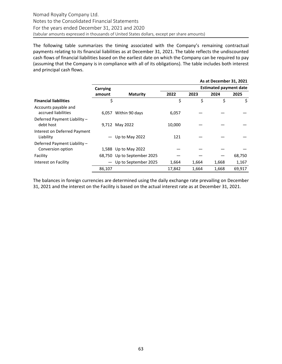The following table summarizes the timing associated with the Company's remaining contractual payments relating to its financial liabilities as at December 31, 2021. The table reflects the undiscounted cash flows of financial liabilities based on the earliest date on which the Company can be required to pay (assuming that the Company is in compliance with all of its obligations). The table includes both interest and principal cash flows.

|                                             |          |                             |        |       | As at December 31, 2021       |        |
|---------------------------------------------|----------|-----------------------------|--------|-------|-------------------------------|--------|
|                                             | Carrying |                             |        |       | <b>Estimated payment date</b> |        |
|                                             | amount   | <b>Maturity</b>             | 2022   | 2023  | 2024                          | 2025   |
| <b>Financial liabilities</b>                | \$       |                             | \$     | \$    | \$                            | \$     |
| Accounts payable and<br>accrued liabilities | 6,057    | Within 90 days              | 6,057  |       |                               |        |
| Deferred Payment Liability -<br>debt host   |          | 9,712 May 2022              | 10,000 |       |                               |        |
| Interest on Deferred Payment<br>Liability   |          | Up to May 2022              | 121    |       |                               |        |
| Deferred Payment Liability -                |          |                             |        |       |                               |        |
| Conversion option                           |          | 1,588 Up to May 2022        |        |       |                               |        |
| Facility                                    |          | 68,750 Up to September 2025 |        |       |                               | 68,750 |
| Interest on Facility                        |          | Up to September 2025        | 1,664  | 1,664 | 1,668                         | 1,167  |
|                                             | 86,107   |                             | 17,842 | 1,664 | 1,668                         | 69,917 |

The balances in foreign currencies are determined using the daily exchange rate prevailing on December 31, 2021 and the interest on the Facility is based on the actual interest rate as at December 31, 2021.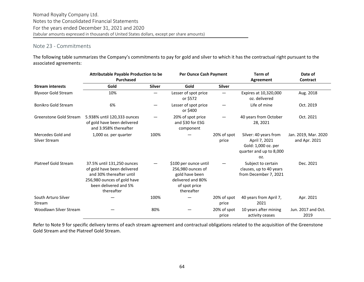# <span id="page-63-0"></span>Note 23 - Commitments

The following table summarizes the Company's commitments to pay for gold and silver to which it has the contractual right pursuant to the associated agreements:

|                                           | <b>Attributable Payable Production to be</b><br><b>Purchased</b>                                                                                            |               | Per Ounce Cash Payment                                                                                           |                      | Term of<br>Agreement                                                                            | Date of<br><b>Contract</b>            |  |
|-------------------------------------------|-------------------------------------------------------------------------------------------------------------------------------------------------------------|---------------|------------------------------------------------------------------------------------------------------------------|----------------------|-------------------------------------------------------------------------------------------------|---------------------------------------|--|
| <b>Stream interests</b>                   | Gold                                                                                                                                                        | <b>Silver</b> | Gold                                                                                                             | <b>Silver</b>        |                                                                                                 |                                       |  |
| <b>Blyvoor Gold Stream</b>                | 10%                                                                                                                                                         |               | Lesser of spot price<br>or \$572                                                                                 |                      | Expires at 10,320,000<br>oz. delivered                                                          | Aug. 2018                             |  |
| <b>Bonikro Gold Stream</b>                | 6%                                                                                                                                                          |               | Lesser of spot price<br>or \$400                                                                                 |                      | Life of mine                                                                                    | Oct. 2019                             |  |
| Greenstone Gold Stream                    | 5.938% until 120,333 ounces<br>of gold have been delivered<br>and 3.958% thereafter                                                                         |               | 20% of spot price<br>and \$30 for ESG<br>component                                                               |                      | 40 years from October<br>28, 2021                                                               | Oct. 2021                             |  |
| Mercedes Gold and<br><b>Silver Stream</b> | 1,000 oz. per quarter                                                                                                                                       | 100%          |                                                                                                                  | 20% of spot<br>price | Silver: 40 years from<br>April 7, 2021<br>Gold: 1,000 oz. per<br>quarter and up to 8,000<br>OZ. | Jan. 2019, Mar. 2020<br>and Apr. 2021 |  |
| <b>Platreef Gold Stream</b>               | 37.5% until 131,250 ounces<br>of gold have been delivered<br>and 30% thereafter until<br>256,980 ounces of gold have<br>been delivered and 5%<br>thereafter |               | \$100 per ounce until<br>256,980 ounces of<br>gold have been<br>delivered and 80%<br>of spot price<br>thereafter |                      | Subject to certain<br>clauses, up to 40 years<br>from December 7, 2021                          | Dec. 2021                             |  |
| South Arturo Silver<br>Stream             |                                                                                                                                                             | 100%          |                                                                                                                  | 20% of spot<br>price | 40 years from April 7,<br>2021                                                                  | Apr. 2021                             |  |
| Woodlawn Silver Stream                    |                                                                                                                                                             | 80%           |                                                                                                                  | 20% of spot<br>price | 10 years after mining<br>activity ceases                                                        | Jun. 2017 and Oct.<br>2019            |  |

Refer to Note 9 for specific delivery terms of each stream agreement and contractual obligations related to the acquisition of the Greenstone Gold Stream and the Platreef Gold Stream.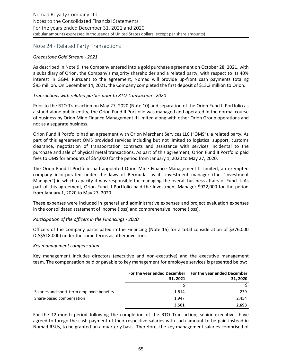#### Note 24 - Related Party Transactions

#### *Greenstone Gold Stream - 2021*

As described in Note 9, the Company entered into a gold purchase agreement on October 28, 2021, with a subsidiary of Orion, the Company's majority shareholder and a related party, with respect to its 40% interest in GGM. Pursuant to the agreement, Nomad will provide up-front cash payments totaling \$95 million. On December 14, 2021, the Company completed the first deposit of \$13.3 million to Orion.

#### *Transactions with related parties prior to RTO Transaction - 2020*

Prior to the RTO Transaction on May 27, 2020 (Note 10) and separation of the Orion Fund II Portfolio as a stand-alone public entity, the Orion Fund II Portfolio was managed and operated in the normal course of business by Orion Mine Finance Management II Limited along with other Orion Group operations and not as a separate business.

Orion Fund II Portfolio had an agreement with Orion Merchant Services LLC ("OMS"), a related party. As part of this agreement OMS provided services including but not limited to logistical support, customs clearance, negotiation of transportation contracts and assistance with services incidental to the purchase and sale of physical metal transactions. As part of this agreement, Orion Fund II Portfolio paid fees to OMS for amounts of \$54,000 for the period from January 1, 2020 to May 27, 2020.

The Orion Fund II Portfolio had appointed Orion Mine Finance Management II Limited, an exempted company incorporated under the laws of Bermuda, as its investment manager (the "Investment Manager") in which capacity it was responsible for managing the overall business affairs of Fund II. As part of this agreement, Orion Fund II Portfolio paid the Investment Manager \$922,000 for the period from January 1, 2020 to May 27, 2020.

These expenses were included in general and administrative expenses and project evaluation expenses in the consolidated statement of income (loss) and comprehensive income (loss).

#### *Participation of the officers in the Financings - 2020*

Officers of the Company participated in the Financing (Note 15) for a total consideration of \$376,000 (CA\$518,000) under the same terms as other investors.

#### *Key management compensation*

Key management includes directors (executive and non-executive) and the executive management team. The compensation paid or payable to key management for employee services is presented below:

|                                           |          | For the year ended December For the year ended December |
|-------------------------------------------|----------|---------------------------------------------------------|
|                                           | 31, 2021 | 31, 2020                                                |
|                                           |          |                                                         |
| Salaries and short-term employee benefits | 1,614    | 239                                                     |
| Share-based compensation                  | 1.947    | 2.454                                                   |
|                                           | 3,561    | 2,693                                                   |

For the 12-month period following the completion of the RTO Transaction, senior executives have agreed to forego the cash payment of their respective salaries with such amount to be paid instead in Nomad RSUs, to be granted on a quarterly basis. Therefore, the key management salaries comprised of